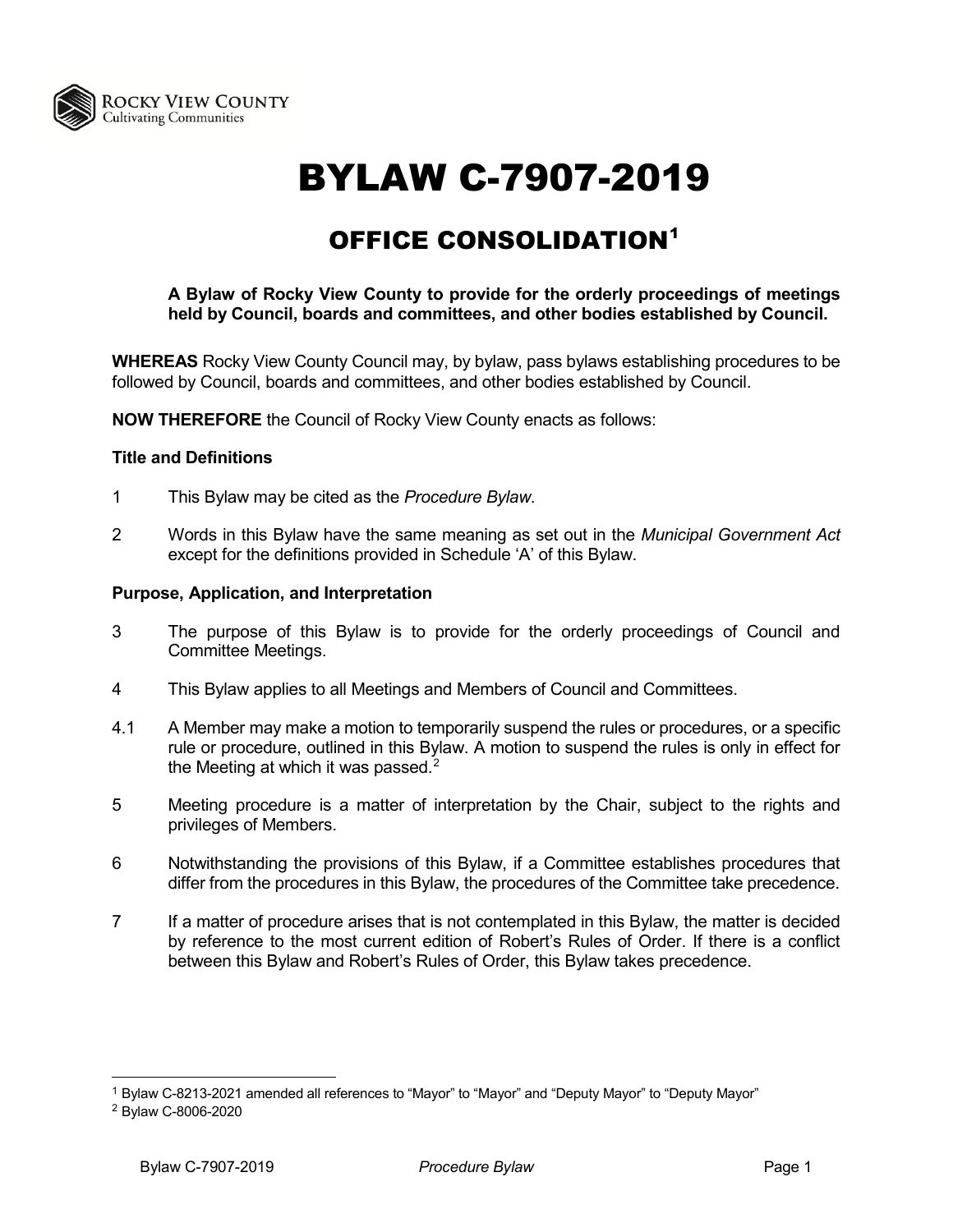

# BYLAW C-7907-2019

# OFFICE CONSOLIDATION[1](#page-0-0)

# **A Bylaw of Rocky View County to provide for the orderly proceedings of meetings held by Council, boards and committees, and other bodies established by Council.**

**WHEREAS** Rocky View County Council may, by bylaw, pass bylaws establishing procedures to be followed by Council, boards and committees, and other bodies established by Council.

**NOW THEREFORE** the Council of Rocky View County enacts as follows:

#### **Title and Definitions**

- 1 This Bylaw may be cited as the *Procedure Bylaw.*
- 2 Words in this Bylaw have the same meaning as set out in the *Municipal Government Act*  except for the definitions provided in Schedule 'A' of this Bylaw.

#### **Purpose, Application, and Interpretation**

- 3 The purpose of this Bylaw is to provide for the orderly proceedings of Council and Committee Meetings.
- 4 This Bylaw applies to all Meetings and Members of Council and Committees.
- 4.1 A Member may make a motion to temporarily suspend the rules or procedures, or a specific rule or procedure, outlined in this Bylaw. A motion to suspend the rules is only in effect for the Meeting at which it was passed. $2$
- 5 Meeting procedure is a matter of interpretation by the Chair, subject to the rights and privileges of Members.
- 6 Notwithstanding the provisions of this Bylaw, if a Committee establishes procedures that differ from the procedures in this Bylaw, the procedures of the Committee take precedence.
- 7 If a matter of procedure arises that is not contemplated in this Bylaw, the matter is decided by reference to the most current edition of Robert's Rules of Order. If there is a conflict between this Bylaw and Robert's Rules of Order, this Bylaw takes precedence.

<span id="page-0-0"></span> <sup>1</sup> Bylaw C-8213-2021 amended all references to "Mayor" to "Mayor" and "Deputy Mayor" to "Deputy Mayor"

<span id="page-0-1"></span><sup>2</sup> Bylaw C-8006-2020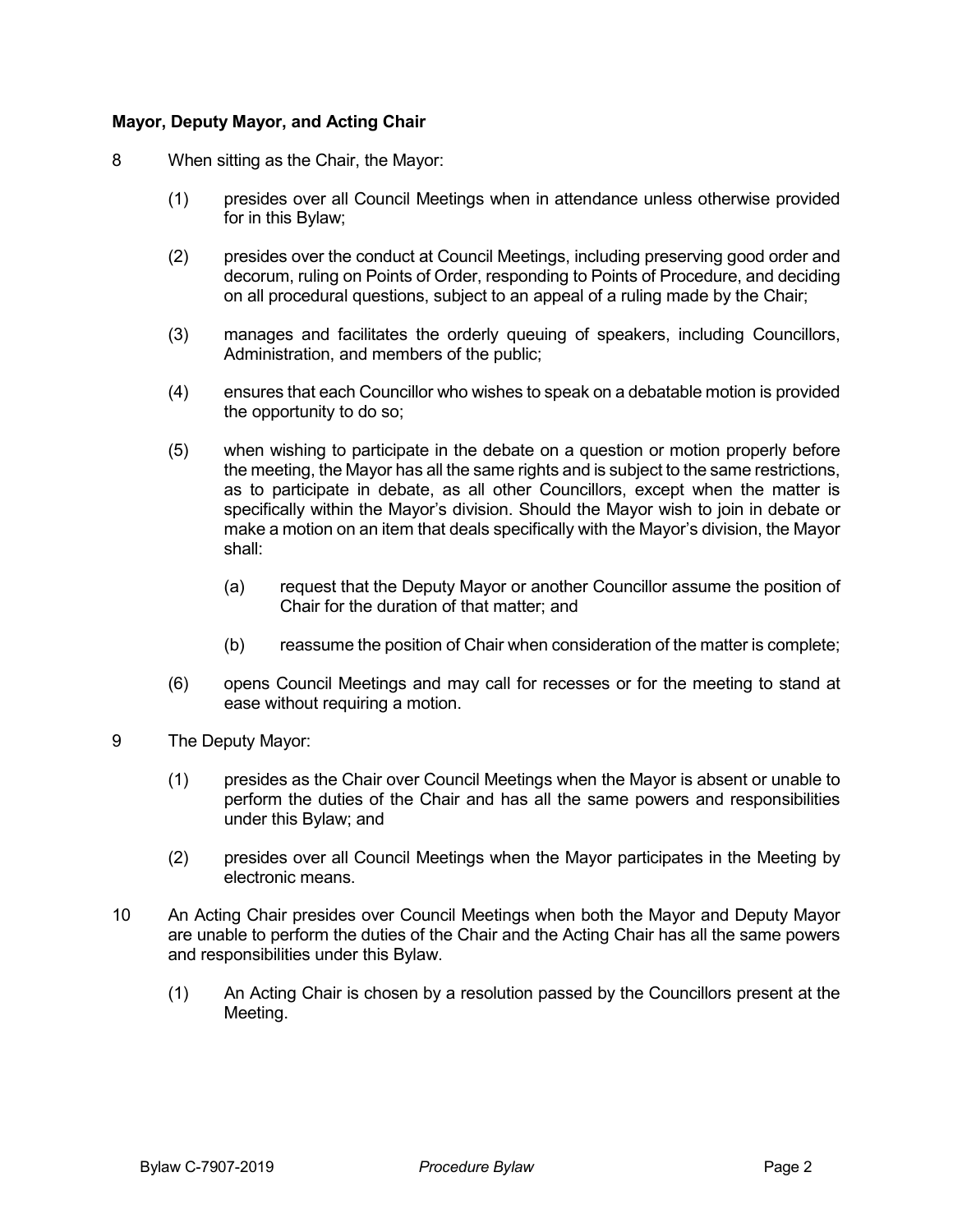# **Mayor, Deputy Mayor, and Acting Chair**

8 When sitting as the Chair, the Mayor:

- (1) presides over all Council Meetings when in attendance unless otherwise provided for in this Bylaw;
- (2) presides over the conduct at Council Meetings, including preserving good order and decorum, ruling on Points of Order, responding to Points of Procedure, and deciding on all procedural questions, subject to an appeal of a ruling made by the Chair;
- (3) manages and facilitates the orderly queuing of speakers, including Councillors, Administration, and members of the public;
- (4) ensures that each Councillor who wishes to speak on a debatable motion is provided the opportunity to do so;
- (5) when wishing to participate in the debate on a question or motion properly before the meeting, the Mayor has all the same rights and is subject to the same restrictions, as to participate in debate, as all other Councillors, except when the matter is specifically within the Mayor's division. Should the Mayor wish to join in debate or make a motion on an item that deals specifically with the Mayor's division, the Mayor shall:
	- (a) request that the Deputy Mayor or another Councillor assume the position of Chair for the duration of that matter; and
	- (b) reassume the position of Chair when consideration of the matter is complete;
- (6) opens Council Meetings and may call for recesses or for the meeting to stand at ease without requiring a motion.
- 9 The Deputy Mayor:
	- (1) presides as the Chair over Council Meetings when the Mayor is absent or unable to perform the duties of the Chair and has all the same powers and responsibilities under this Bylaw; and
	- (2) presides over all Council Meetings when the Mayor participates in the Meeting by electronic means.
- 10 An Acting Chair presides over Council Meetings when both the Mayor and Deputy Mayor are unable to perform the duties of the Chair and the Acting Chair has all the same powers and responsibilities under this Bylaw.
	- (1) An Acting Chair is chosen by a resolution passed by the Councillors present at the Meeting.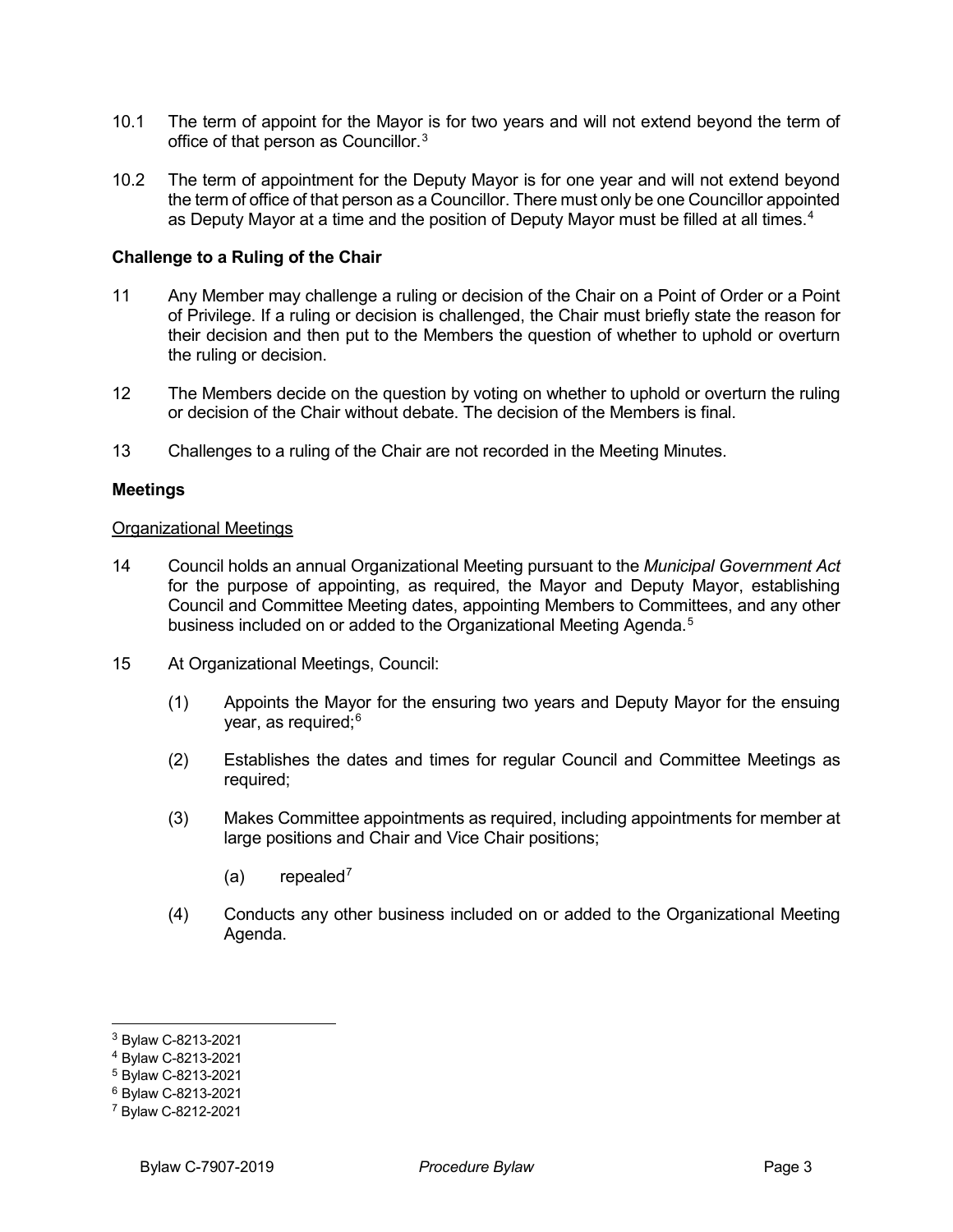- 10.1 The term of appoint for the Mayor is for two years and will not extend beyond the term of office of that person as Councillor.<sup>[3](#page-2-0)</sup>
- 10.2 The term of appointment for the Deputy Mayor is for one year and will not extend beyond the term of office of that person as a Councillor. There must only be one Councillor appointed as Deputy Mayor at a time and the position of Deputy Mayor must be filled at all times.<sup>[4](#page-2-1)</sup>

# **Challenge to a Ruling of the Chair**

- 11 Any Member may challenge a ruling or decision of the Chair on a Point of Order or a Point of Privilege. If a ruling or decision is challenged, the Chair must briefly state the reason for their decision and then put to the Members the question of whether to uphold or overturn the ruling or decision.
- 12 The Members decide on the question by voting on whether to uphold or overturn the ruling or decision of the Chair without debate. The decision of the Members is final.
- 13 Challenges to a ruling of the Chair are not recorded in the Meeting Minutes.

# **Meetings**

# Organizational Meetings

- 14 Council holds an annual Organizational Meeting pursuant to the *Municipal Government Act* for the purpose of appointing, as required, the Mayor and Deputy Mayor, establishing Council and Committee Meeting dates, appointing Members to Committees, and any other business included on or added to the Organizational Meeting Agenda.<sup>[5](#page-2-2)</sup>
- 15 At Organizational Meetings, Council:
	- (1) Appoints the Mayor for the ensuring two years and Deputy Mayor for the ensuing vear, as required; $6\%$  $6\%$
	- (2) Establishes the dates and times for regular Council and Committee Meetings as required;
	- (3) Makes Committee appointments as required, including appointments for member at large positions and Chair and Vice Chair positions;
		- $(a)$  repealed<sup>[7](#page-2-4)</sup>
	- (4) Conducts any other business included on or added to the Organizational Meeting Agenda.

<span id="page-2-0"></span> <sup>3</sup> Bylaw C-8213-2021

<span id="page-2-1"></span><sup>4</sup> Bylaw C-8213-2021

<span id="page-2-2"></span><sup>5</sup> Bylaw C-8213-2021

<span id="page-2-3"></span><sup>6</sup> Bylaw C-8213-2021

<span id="page-2-4"></span><sup>7</sup> Bylaw C-8212-2021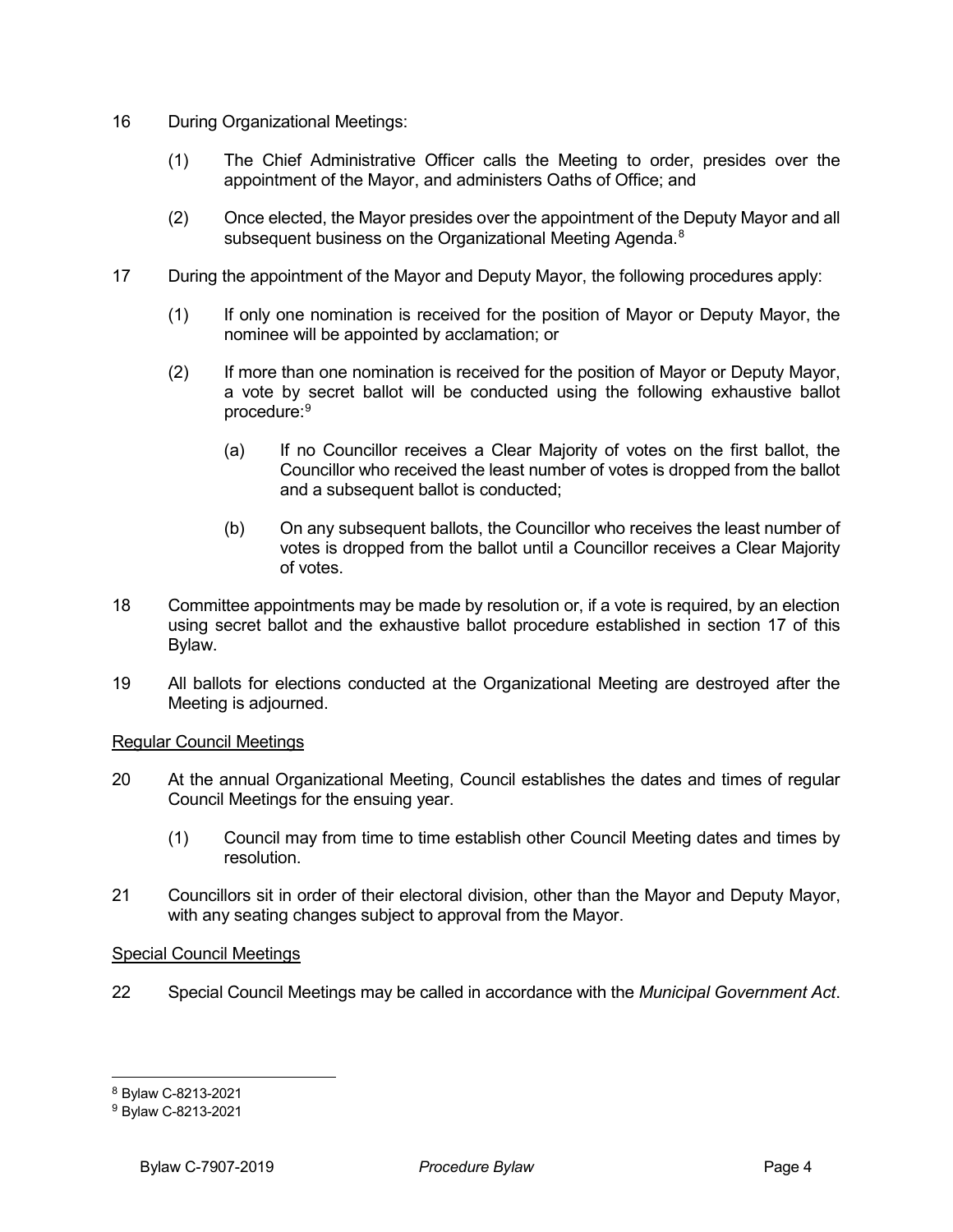- 16 During Organizational Meetings:
	- (1) The Chief Administrative Officer calls the Meeting to order, presides over the appointment of the Mayor, and administers Oaths of Office; and
	- (2) Once elected, the Mayor presides over the appointment of the Deputy Mayor and all subsequent business on the Organizational Meeting Agenda.<sup>[8](#page-3-0)</sup>
- 17 During the appointment of the Mayor and Deputy Mayor, the following procedures apply:
	- (1) If only one nomination is received for the position of Mayor or Deputy Mayor, the nominee will be appointed by acclamation; or
	- (2) If more than one nomination is received for the position of Mayor or Deputy Mayor, a vote by secret ballot will be conducted using the following exhaustive ballot procedure:[9](#page-3-1)
		- (a) If no Councillor receives a Clear Majority of votes on the first ballot, the Councillor who received the least number of votes is dropped from the ballot and a subsequent ballot is conducted;
		- (b) On any subsequent ballots, the Councillor who receives the least number of votes is dropped from the ballot until a Councillor receives a Clear Majority of votes.
- 18 Committee appointments may be made by resolution or, if a vote is required, by an election using secret ballot and the exhaustive ballot procedure established in section 17 of this Bylaw.
- 19 All ballots for elections conducted at the Organizational Meeting are destroyed after the Meeting is adjourned.

# Regular Council Meetings

- 20 At the annual Organizational Meeting, Council establishes the dates and times of regular Council Meetings for the ensuing year.
	- (1) Council may from time to time establish other Council Meeting dates and times by resolution.
- 21 Councillors sit in order of their electoral division, other than the Mayor and Deputy Mayor, with any seating changes subject to approval from the Mayor.

# Special Council Meetings

22 Special Council Meetings may be called in accordance with the *Municipal Government Act*.

<span id="page-3-0"></span> <sup>8</sup> Bylaw C-8213-2021

<span id="page-3-1"></span><sup>9</sup> Bylaw C-8213-2021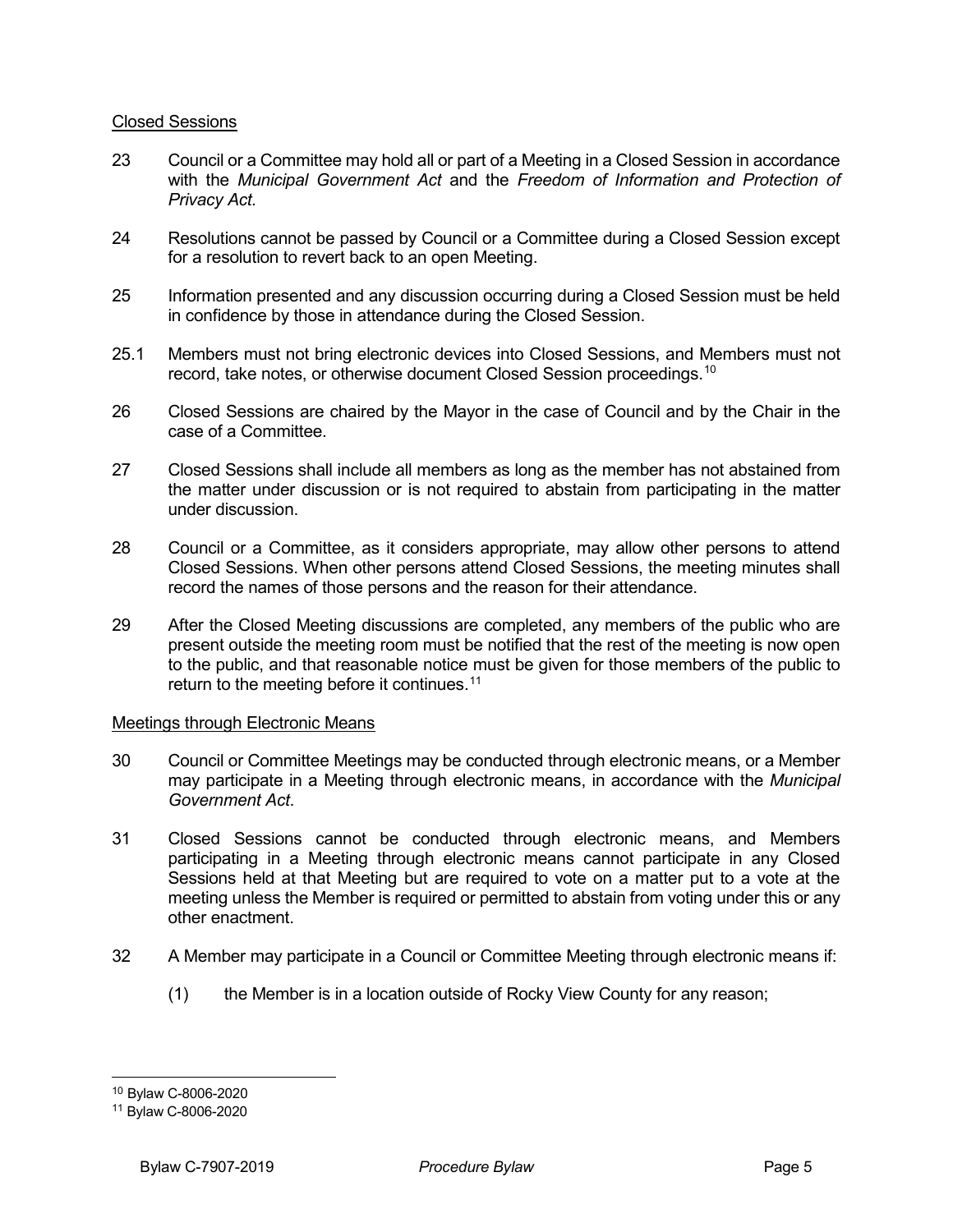# Closed Sessions

- 23 Council or a Committee may hold all or part of a Meeting in a Closed Session in accordance with the *Municipal Government Act* and the *Freedom of Information and Protection of Privacy Act.*
- 24 Resolutions cannot be passed by Council or a Committee during a Closed Session except for a resolution to revert back to an open Meeting.
- 25 Information presented and any discussion occurring during a Closed Session must be held in confidence by those in attendance during the Closed Session.
- 25.1 Members must not bring electronic devices into Closed Sessions, and Members must not record, take notes, or otherwise document Closed Session proceedings.<sup>[10](#page-4-0)</sup>
- 26 Closed Sessions are chaired by the Mayor in the case of Council and by the Chair in the case of a Committee.
- 27 Closed Sessions shall include all members as long as the member has not abstained from the matter under discussion or is not required to abstain from participating in the matter under discussion.
- 28 Council or a Committee, as it considers appropriate, may allow other persons to attend Closed Sessions. When other persons attend Closed Sessions, the meeting minutes shall record the names of those persons and the reason for their attendance.
- 29 After the Closed Meeting discussions are completed, any members of the public who are present outside the meeting room must be notified that the rest of the meeting is now open to the public, and that reasonable notice must be given for those members of the public to return to the meeting before it continues. [11](#page-4-1)

#### Meetings through Electronic Means

- 30 Council or Committee Meetings may be conducted through electronic means, or a Member may participate in a Meeting through electronic means, in accordance with the *Municipal Government Act*.
- 31 Closed Sessions cannot be conducted through electronic means, and Members participating in a Meeting through electronic means cannot participate in any Closed Sessions held at that Meeting but are required to vote on a matter put to a vote at the meeting unless the Member is required or permitted to abstain from voting under this or any other enactment.
- 32 A Member may participate in a Council or Committee Meeting through electronic means if:
	- (1) the Member is in a location outside of Rocky View County for any reason;

<span id="page-4-0"></span> <sup>10</sup> Bylaw C-8006-2020

<span id="page-4-1"></span><sup>11</sup> Bylaw C-8006-2020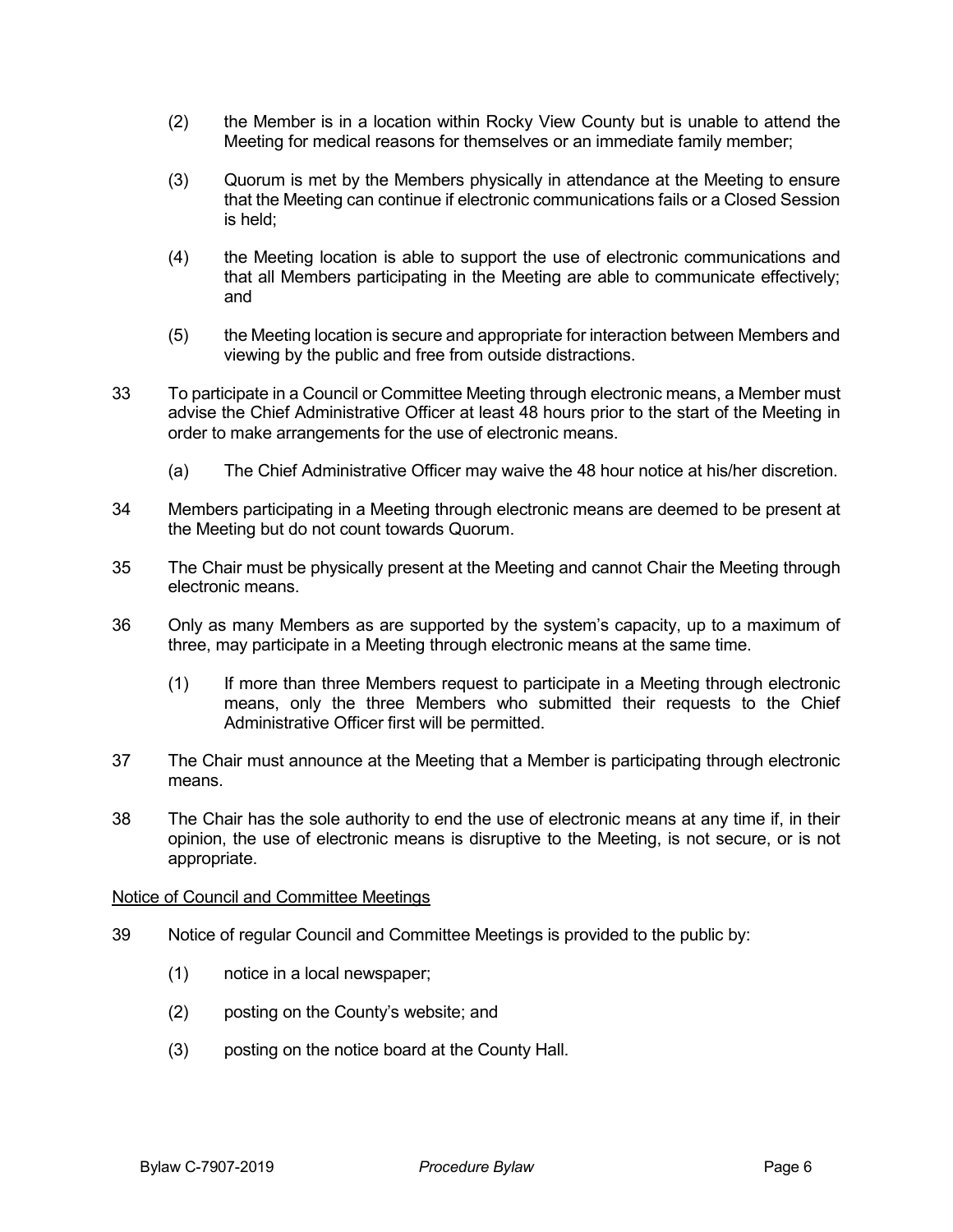- (2) the Member is in a location within Rocky View County but is unable to attend the Meeting for medical reasons for themselves or an immediate family member;
- (3) Quorum is met by the Members physically in attendance at the Meeting to ensure that the Meeting can continue if electronic communications fails or a Closed Session is held;
- (4) the Meeting location is able to support the use of electronic communications and that all Members participating in the Meeting are able to communicate effectively; and
- (5) the Meeting location is secure and appropriate for interaction between Members and viewing by the public and free from outside distractions.
- 33 To participate in a Council or Committee Meeting through electronic means, a Member must advise the Chief Administrative Officer at least 48 hours prior to the start of the Meeting in order to make arrangements for the use of electronic means.
	- (a) The Chief Administrative Officer may waive the 48 hour notice at his/her discretion.
- 34 Members participating in a Meeting through electronic means are deemed to be present at the Meeting but do not count towards Quorum.
- 35 The Chair must be physically present at the Meeting and cannot Chair the Meeting through electronic means.
- 36 Only as many Members as are supported by the system's capacity, up to a maximum of three, may participate in a Meeting through electronic means at the same time.
	- (1) If more than three Members request to participate in a Meeting through electronic means, only the three Members who submitted their requests to the Chief Administrative Officer first will be permitted.
- 37 The Chair must announce at the Meeting that a Member is participating through electronic means.
- 38 The Chair has the sole authority to end the use of electronic means at any time if, in their opinion, the use of electronic means is disruptive to the Meeting, is not secure, or is not appropriate.

# Notice of Council and Committee Meetings

- 39 Notice of regular Council and Committee Meetings is provided to the public by:
	- (1) notice in a local newspaper;
	- (2) posting on the County's website; and
	- (3) posting on the notice board at the County Hall.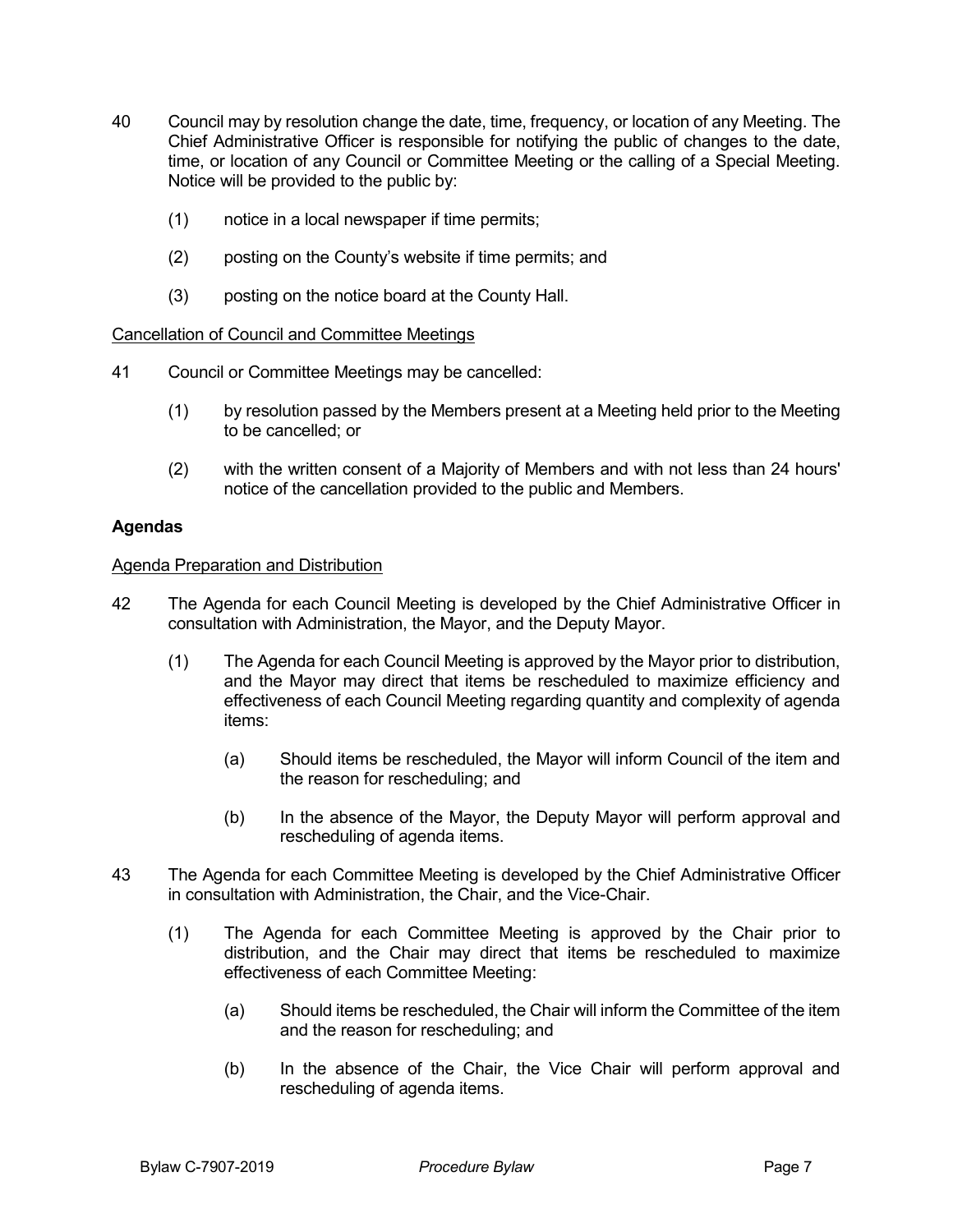- 40 Council may by resolution change the date, time, frequency, or location of any Meeting. The Chief Administrative Officer is responsible for notifying the public of changes to the date, time, or location of any Council or Committee Meeting or the calling of a Special Meeting. Notice will be provided to the public by:
	- (1) notice in a local newspaper if time permits;
	- (2) posting on the County's website if time permits; and
	- (3) posting on the notice board at the County Hall.

# Cancellation of Council and Committee Meetings

- 41 Council or Committee Meetings may be cancelled:
	- (1) by resolution passed by the Members present at a Meeting held prior to the Meeting to be cancelled; or
	- (2) with the written consent of a Majority of Members and with not less than 24 hours' notice of the cancellation provided to the public and Members.

# **Agendas**

#### Agenda Preparation and Distribution

- 42 The Agenda for each Council Meeting is developed by the Chief Administrative Officer in consultation with Administration, the Mayor, and the Deputy Mayor.
	- (1) The Agenda for each Council Meeting is approved by the Mayor prior to distribution, and the Mayor may direct that items be rescheduled to maximize efficiency and effectiveness of each Council Meeting regarding quantity and complexity of agenda items:
		- (a) Should items be rescheduled, the Mayor will inform Council of the item and the reason for rescheduling; and
		- (b) In the absence of the Mayor, the Deputy Mayor will perform approval and rescheduling of agenda items.
- 43 The Agenda for each Committee Meeting is developed by the Chief Administrative Officer in consultation with Administration, the Chair, and the Vice-Chair.
	- (1) The Agenda for each Committee Meeting is approved by the Chair prior to distribution, and the Chair may direct that items be rescheduled to maximize effectiveness of each Committee Meeting:
		- (a) Should items be rescheduled, the Chair will inform the Committee of the item and the reason for rescheduling; and
		- (b) In the absence of the Chair, the Vice Chair will perform approval and rescheduling of agenda items.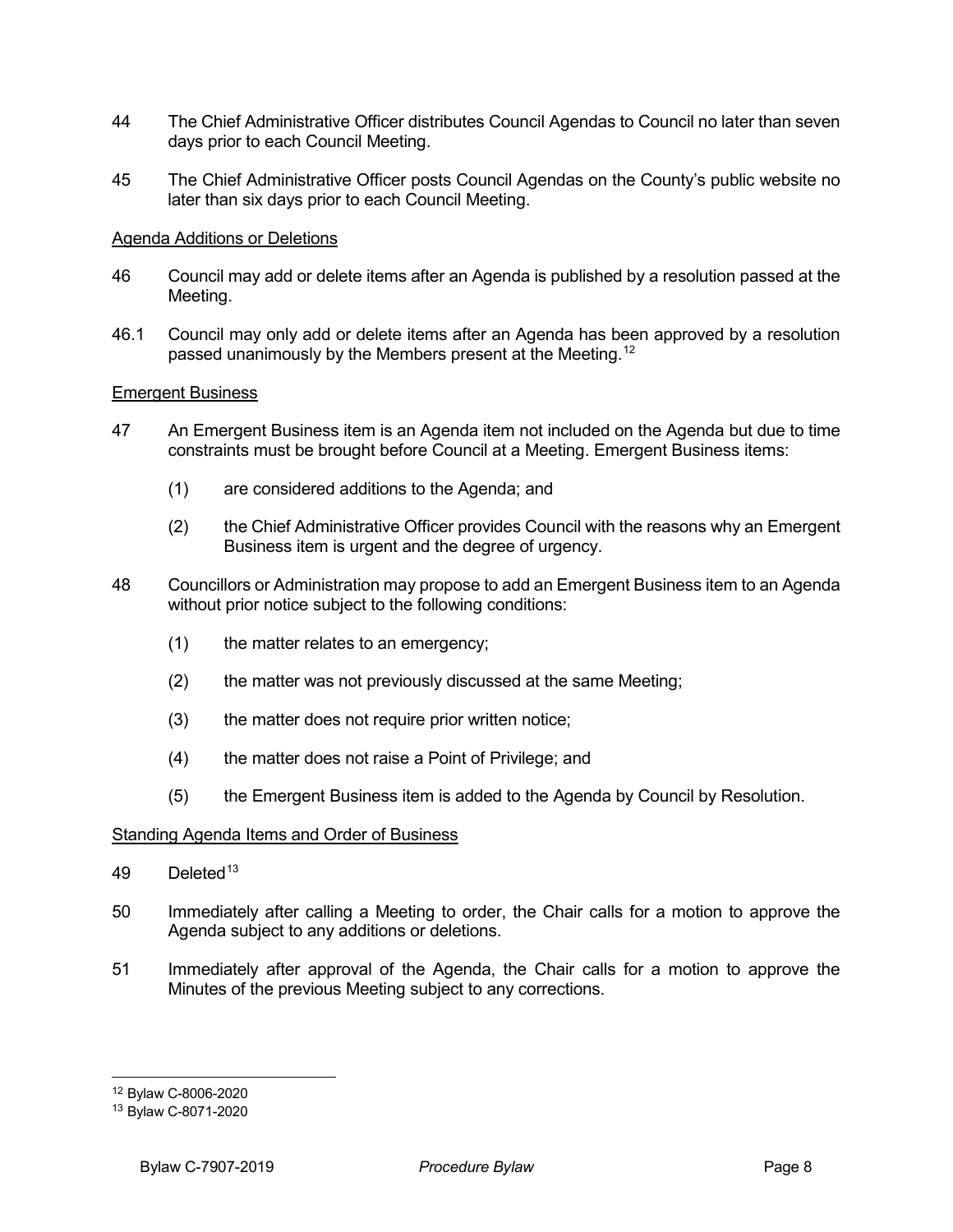- 44 The Chief Administrative Officer distributes Council Agendas to Council no later than seven days prior to each Council Meeting.
- 45 The Chief Administrative Officer posts Council Agendas on the County's public website no later than six days prior to each Council Meeting.

# Agenda Additions or Deletions

- 46 Council may add or delete items after an Agenda is published by a resolution passed at the Meeting.
- 46.1 Council may only add or delete items after an Agenda has been approved by a resolution passed unanimously by the Members present at the Meeting.<sup>[12](#page-7-0)</sup>

#### Emergent Business

- 47 An Emergent Business item is an Agenda item not included on the Agenda but due to time constraints must be brought before Council at a Meeting. Emergent Business items:
	- (1) are considered additions to the Agenda; and
	- (2) the Chief Administrative Officer provides Council with the reasons why an Emergent Business item is urgent and the degree of urgency.
- 48 Councillors or Administration may propose to add an Emergent Business item to an Agenda without prior notice subject to the following conditions:
	- (1) the matter relates to an emergency;
	- (2) the matter was not previously discussed at the same Meeting;
	- (3) the matter does not require prior written notice;
	- (4) the matter does not raise a Point of Privilege; and
	- (5) the Emergent Business item is added to the Agenda by Council by Resolution.

#### Standing Agenda Items and Order of Business

- 49 Deleted<sup>[13](#page-7-1)</sup>
- 50 Immediately after calling a Meeting to order, the Chair calls for a motion to approve the Agenda subject to any additions or deletions.
- 51 Immediately after approval of the Agenda, the Chair calls for a motion to approve the Minutes of the previous Meeting subject to any corrections.

<span id="page-7-0"></span> <sup>12</sup> Bylaw C-8006-2020

<span id="page-7-1"></span><sup>13</sup> Bylaw C-8071-2020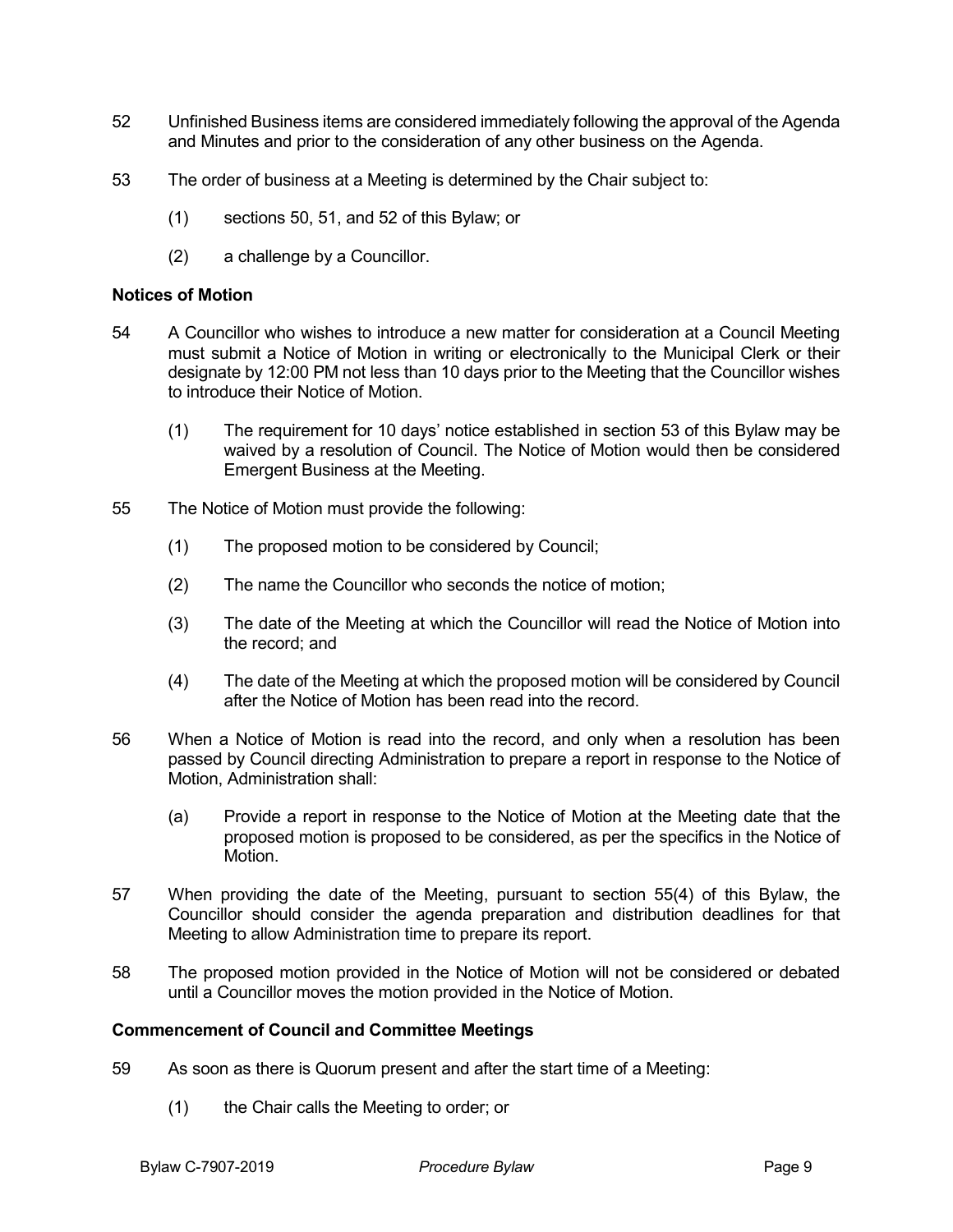- 52 Unfinished Business items are considered immediately following the approval of the Agenda and Minutes and prior to the consideration of any other business on the Agenda.
- 53 The order of business at a Meeting is determined by the Chair subject to:
	- (1) sections 50, 51, and 52 of this Bylaw; or
	- (2) a challenge by a Councillor.

# **Notices of Motion**

- 54 A Councillor who wishes to introduce a new matter for consideration at a Council Meeting must submit a Notice of Motion in writing or electronically to the Municipal Clerk or their designate by 12:00 PM not less than 10 days prior to the Meeting that the Councillor wishes to introduce their Notice of Motion.
	- (1) The requirement for 10 days' notice established in section 53 of this Bylaw may be waived by a resolution of Council. The Notice of Motion would then be considered Emergent Business at the Meeting.
- 55 The Notice of Motion must provide the following:
	- (1) The proposed motion to be considered by Council;
	- (2) The name the Councillor who seconds the notice of motion;
	- (3) The date of the Meeting at which the Councillor will read the Notice of Motion into the record; and
	- (4) The date of the Meeting at which the proposed motion will be considered by Council after the Notice of Motion has been read into the record.
- 56 When a Notice of Motion is read into the record, and only when a resolution has been passed by Council directing Administration to prepare a report in response to the Notice of Motion, Administration shall:
	- (a) Provide a report in response to the Notice of Motion at the Meeting date that the proposed motion is proposed to be considered, as per the specifics in the Notice of Motion.
- 57 When providing the date of the Meeting, pursuant to section 55(4) of this Bylaw, the Councillor should consider the agenda preparation and distribution deadlines for that Meeting to allow Administration time to prepare its report.
- 58 The proposed motion provided in the Notice of Motion will not be considered or debated until a Councillor moves the motion provided in the Notice of Motion.

#### **Commencement of Council and Committee Meetings**

- 59 As soon as there is Quorum present and after the start time of a Meeting:
	- (1) the Chair calls the Meeting to order; or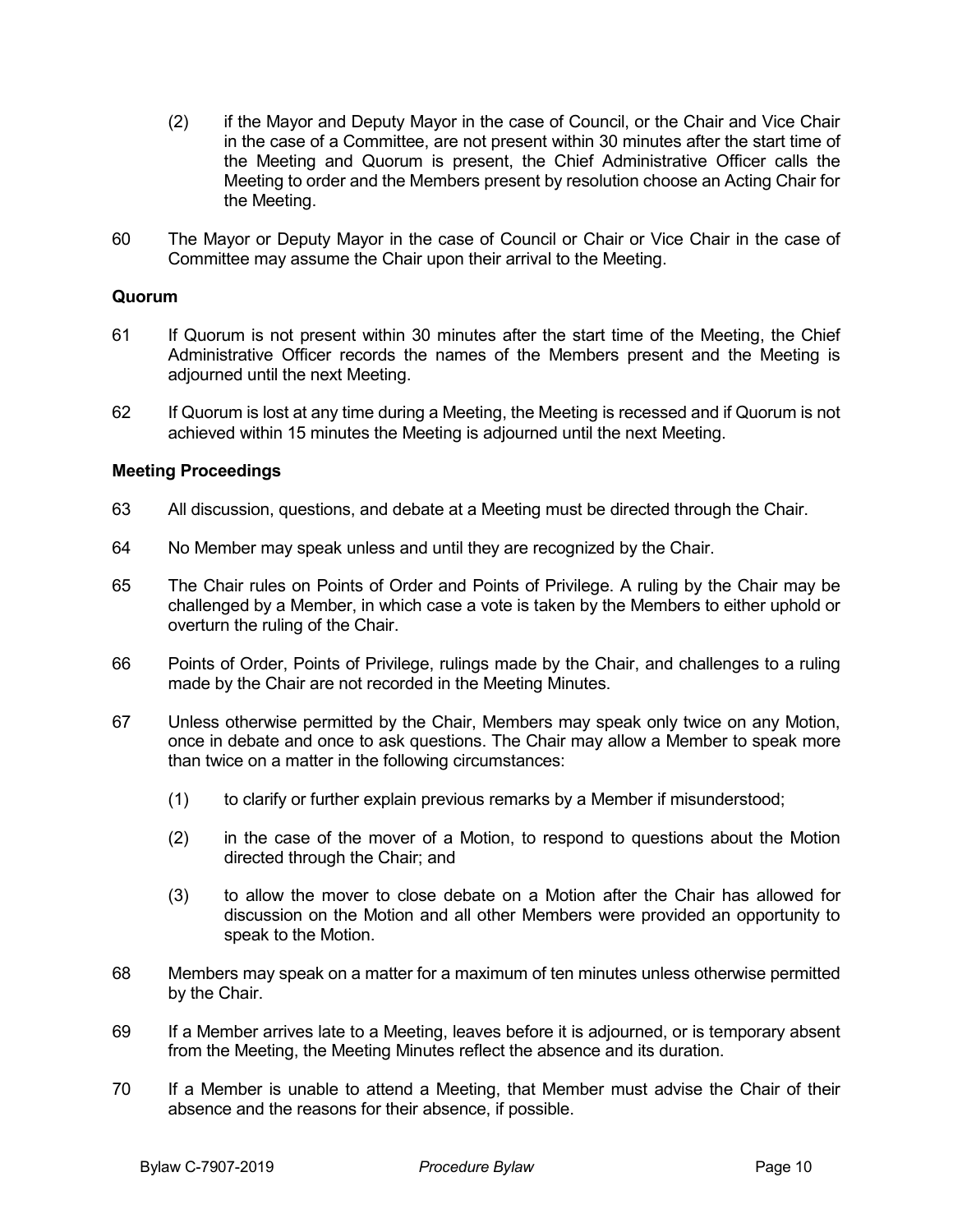- (2) if the Mayor and Deputy Mayor in the case of Council, or the Chair and Vice Chair in the case of a Committee, are not present within 30 minutes after the start time of the Meeting and Quorum is present, the Chief Administrative Officer calls the Meeting to order and the Members present by resolution choose an Acting Chair for the Meeting.
- 60 The Mayor or Deputy Mayor in the case of Council or Chair or Vice Chair in the case of Committee may assume the Chair upon their arrival to the Meeting.

# **Quorum**

- 61 If Quorum is not present within 30 minutes after the start time of the Meeting, the Chief Administrative Officer records the names of the Members present and the Meeting is adjourned until the next Meeting.
- 62 If Quorum is lost at any time during a Meeting, the Meeting is recessed and if Quorum is not achieved within 15 minutes the Meeting is adjourned until the next Meeting.

# **Meeting Proceedings**

- 63 All discussion, questions, and debate at a Meeting must be directed through the Chair.
- 64 No Member may speak unless and until they are recognized by the Chair.
- 65 The Chair rules on Points of Order and Points of Privilege. A ruling by the Chair may be challenged by a Member, in which case a vote is taken by the Members to either uphold or overturn the ruling of the Chair.
- 66 Points of Order, Points of Privilege, rulings made by the Chair, and challenges to a ruling made by the Chair are not recorded in the Meeting Minutes.
- 67 Unless otherwise permitted by the Chair, Members may speak only twice on any Motion, once in debate and once to ask questions. The Chair may allow a Member to speak more than twice on a matter in the following circumstances:
	- (1) to clarify or further explain previous remarks by a Member if misunderstood;
	- (2) in the case of the mover of a Motion, to respond to questions about the Motion directed through the Chair; and
	- (3) to allow the mover to close debate on a Motion after the Chair has allowed for discussion on the Motion and all other Members were provided an opportunity to speak to the Motion.
- 68 Members may speak on a matter for a maximum of ten minutes unless otherwise permitted by the Chair.
- 69 If a Member arrives late to a Meeting, leaves before it is adjourned, or is temporary absent from the Meeting, the Meeting Minutes reflect the absence and its duration.
- 70 If a Member is unable to attend a Meeting, that Member must advise the Chair of their absence and the reasons for their absence, if possible.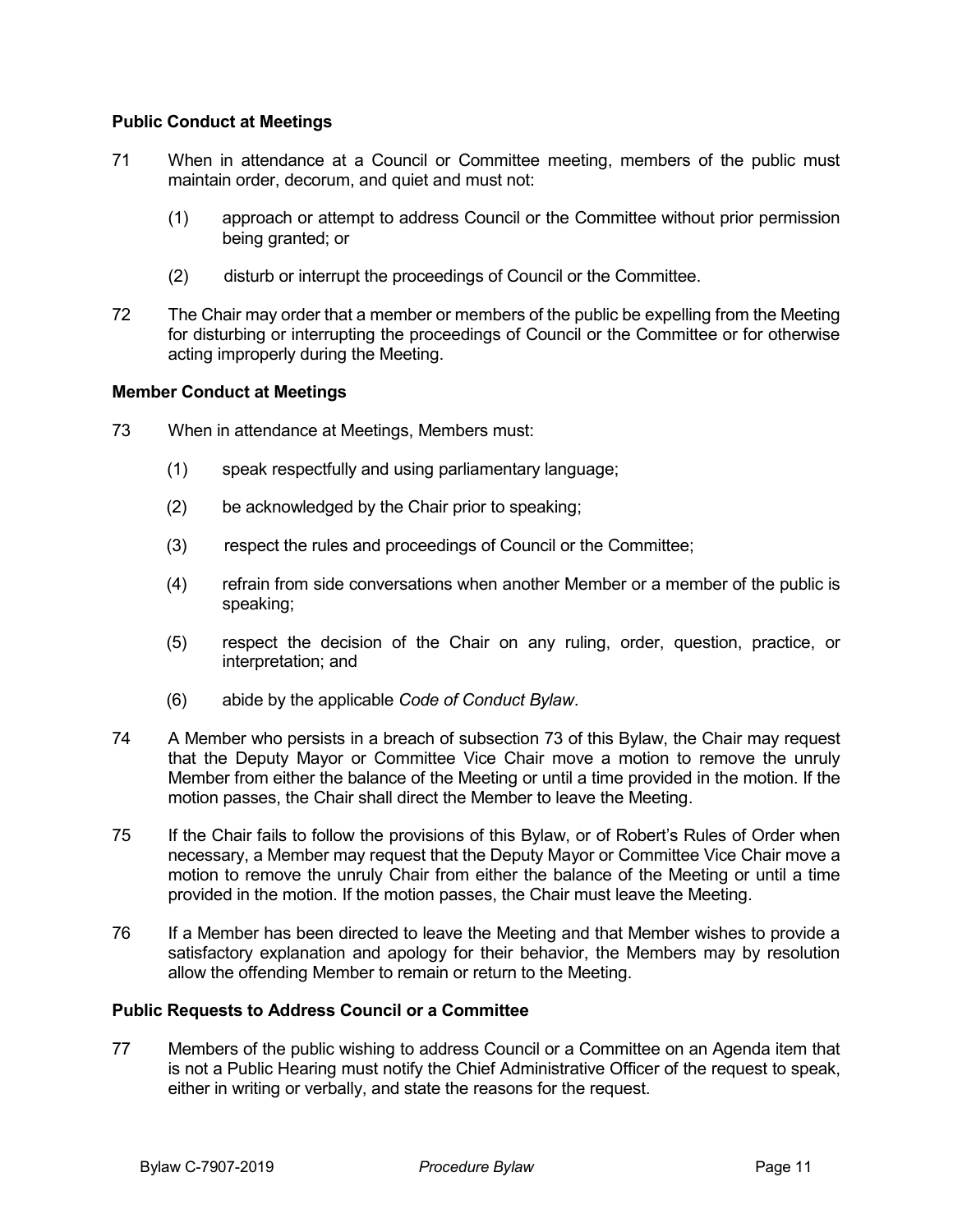# **Public Conduct at Meetings**

- 71 When in attendance at a Council or Committee meeting, members of the public must maintain order, decorum, and quiet and must not:
	- (1) approach or attempt to address Council or the Committee without prior permission being granted; or
	- (2) disturb or interrupt the proceedings of Council or the Committee.
- 72 The Chair may order that a member or members of the public be expelling from the Meeting for disturbing or interrupting the proceedings of Council or the Committee or for otherwise acting improperly during the Meeting.

# **Member Conduct at Meetings**

- 73 When in attendance at Meetings, Members must:
	- (1) speak respectfully and using parliamentary language;
	- (2) be acknowledged by the Chair prior to speaking;
	- (3) respect the rules and proceedings of Council or the Committee;
	- (4) refrain from side conversations when another Member or a member of the public is speaking;
	- (5) respect the decision of the Chair on any ruling, order, question, practice, or interpretation; and
	- (6) abide by the applicable *Code of Conduct Bylaw*.
- 74 A Member who persists in a breach of subsection 73 of this Bylaw, the Chair may request that the Deputy Mayor or Committee Vice Chair move a motion to remove the unruly Member from either the balance of the Meeting or until a time provided in the motion. If the motion passes, the Chair shall direct the Member to leave the Meeting.
- 75 If the Chair fails to follow the provisions of this Bylaw, or of Robert's Rules of Order when necessary, a Member may request that the Deputy Mayor or Committee Vice Chair move a motion to remove the unruly Chair from either the balance of the Meeting or until a time provided in the motion. If the motion passes, the Chair must leave the Meeting.
- 76 If a Member has been directed to leave the Meeting and that Member wishes to provide a satisfactory explanation and apology for their behavior, the Members may by resolution allow the offending Member to remain or return to the Meeting.

# **Public Requests to Address Council or a Committee**

77 Members of the public wishing to address Council or a Committee on an Agenda item that is not a Public Hearing must notify the Chief Administrative Officer of the request to speak, either in writing or verbally, and state the reasons for the request.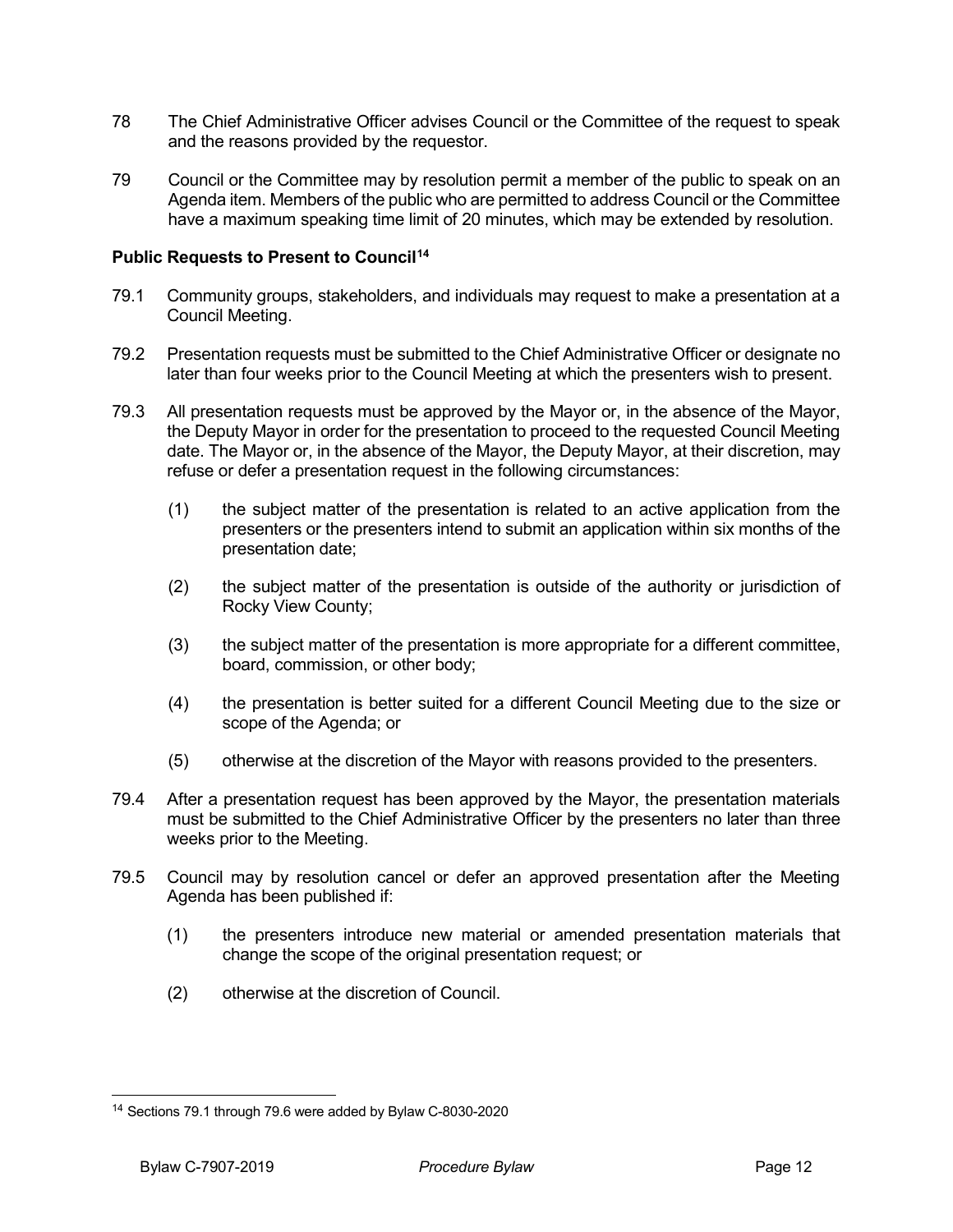- 78 The Chief Administrative Officer advises Council or the Committee of the request to speak and the reasons provided by the requestor.
- 79 Council or the Committee may by resolution permit a member of the public to speak on an Agenda item. Members of the public who are permitted to address Council or the Committee have a maximum speaking time limit of 20 minutes, which may be extended by resolution.

# **Public Requests to Present to Council[14](#page-11-0)**

- 79.1 Community groups, stakeholders, and individuals may request to make a presentation at a Council Meeting.
- 79.2 Presentation requests must be submitted to the Chief Administrative Officer or designate no later than four weeks prior to the Council Meeting at which the presenters wish to present.
- 79.3 All presentation requests must be approved by the Mayor or, in the absence of the Mayor, the Deputy Mayor in order for the presentation to proceed to the requested Council Meeting date. The Mayor or, in the absence of the Mayor, the Deputy Mayor, at their discretion, may refuse or defer a presentation request in the following circumstances:
	- (1) the subject matter of the presentation is related to an active application from the presenters or the presenters intend to submit an application within six months of the presentation date;
	- (2) the subject matter of the presentation is outside of the authority or jurisdiction of Rocky View County;
	- (3) the subject matter of the presentation is more appropriate for a different committee, board, commission, or other body;
	- (4) the presentation is better suited for a different Council Meeting due to the size or scope of the Agenda; or
	- (5) otherwise at the discretion of the Mayor with reasons provided to the presenters.
- 79.4 After a presentation request has been approved by the Mayor, the presentation materials must be submitted to the Chief Administrative Officer by the presenters no later than three weeks prior to the Meeting.
- 79.5 Council may by resolution cancel or defer an approved presentation after the Meeting Agenda has been published if:
	- (1) the presenters introduce new material or amended presentation materials that change the scope of the original presentation request; or
	- (2) otherwise at the discretion of Council.

<span id="page-11-0"></span> <sup>14</sup> Sections 79.1 through 79.6 were added by Bylaw C-8030-2020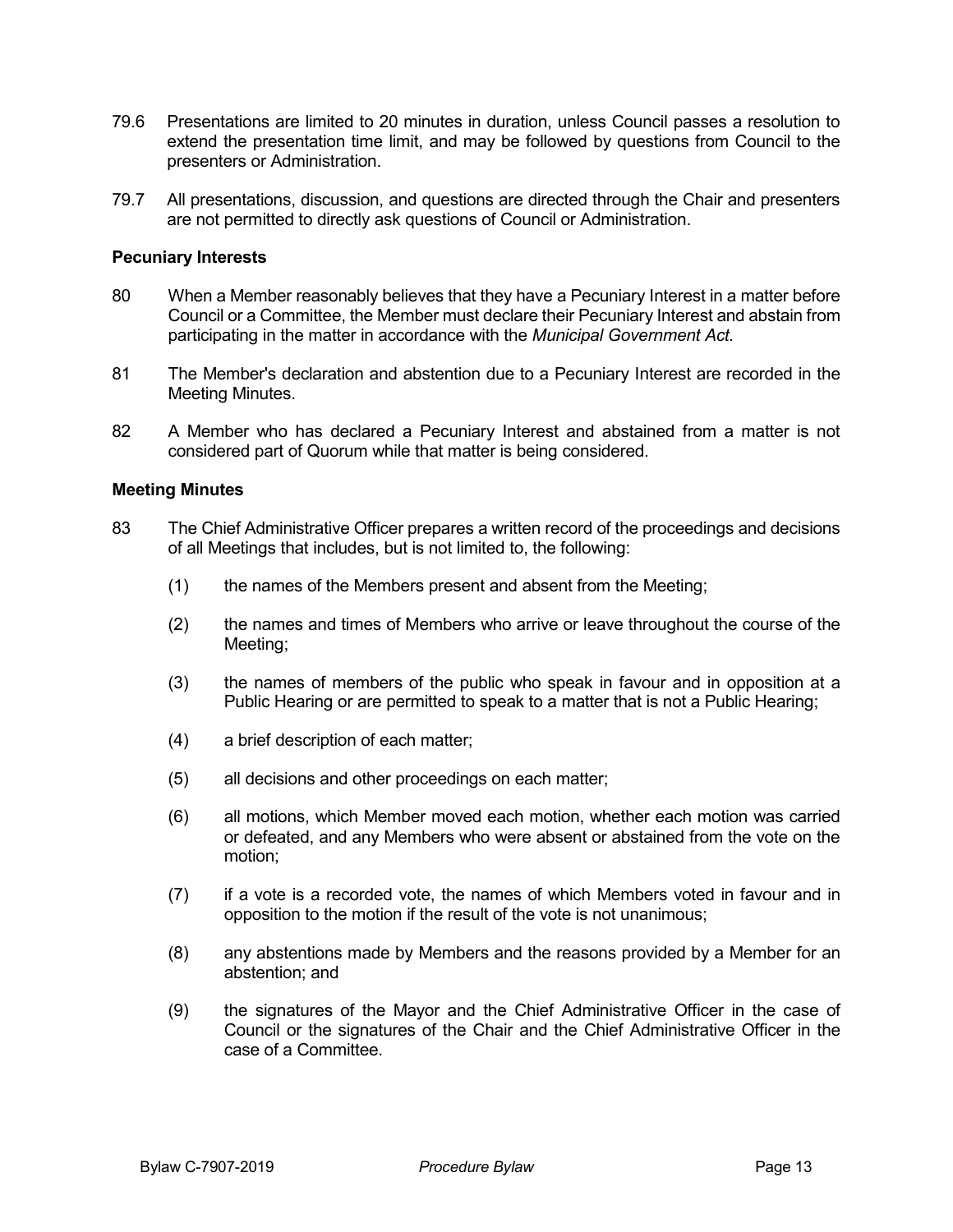- 79.6 Presentations are limited to 20 minutes in duration, unless Council passes a resolution to extend the presentation time limit, and may be followed by questions from Council to the presenters or Administration.
- 79.7 All presentations, discussion, and questions are directed through the Chair and presenters are not permitted to directly ask questions of Council or Administration.

#### **Pecuniary Interests**

- 80 When a Member reasonably believes that they have a Pecuniary Interest in a matter before Council or a Committee, the Member must declare their Pecuniary Interest and abstain from participating in the matter in accordance with the *Municipal Government Act.*
- 81 The Member's declaration and abstention due to a Pecuniary Interest are recorded in the Meeting Minutes.
- 82 A Member who has declared a Pecuniary Interest and abstained from a matter is not considered part of Quorum while that matter is being considered.

#### **Meeting Minutes**

- 83 The Chief Administrative Officer prepares a written record of the proceedings and decisions of all Meetings that includes, but is not limited to, the following:
	- (1) the names of the Members present and absent from the Meeting;
	- (2) the names and times of Members who arrive or leave throughout the course of the Meeting;
	- (3) the names of members of the public who speak in favour and in opposition at a Public Hearing or are permitted to speak to a matter that is not a Public Hearing;
	- (4) a brief description of each matter;
	- (5) all decisions and other proceedings on each matter;
	- (6) all motions, which Member moved each motion, whether each motion was carried or defeated, and any Members who were absent or abstained from the vote on the motion;
	- (7) if a vote is a recorded vote, the names of which Members voted in favour and in opposition to the motion if the result of the vote is not unanimous;
	- (8) any abstentions made by Members and the reasons provided by a Member for an abstention; and
	- (9) the signatures of the Mayor and the Chief Administrative Officer in the case of Council or the signatures of the Chair and the Chief Administrative Officer in the case of a Committee.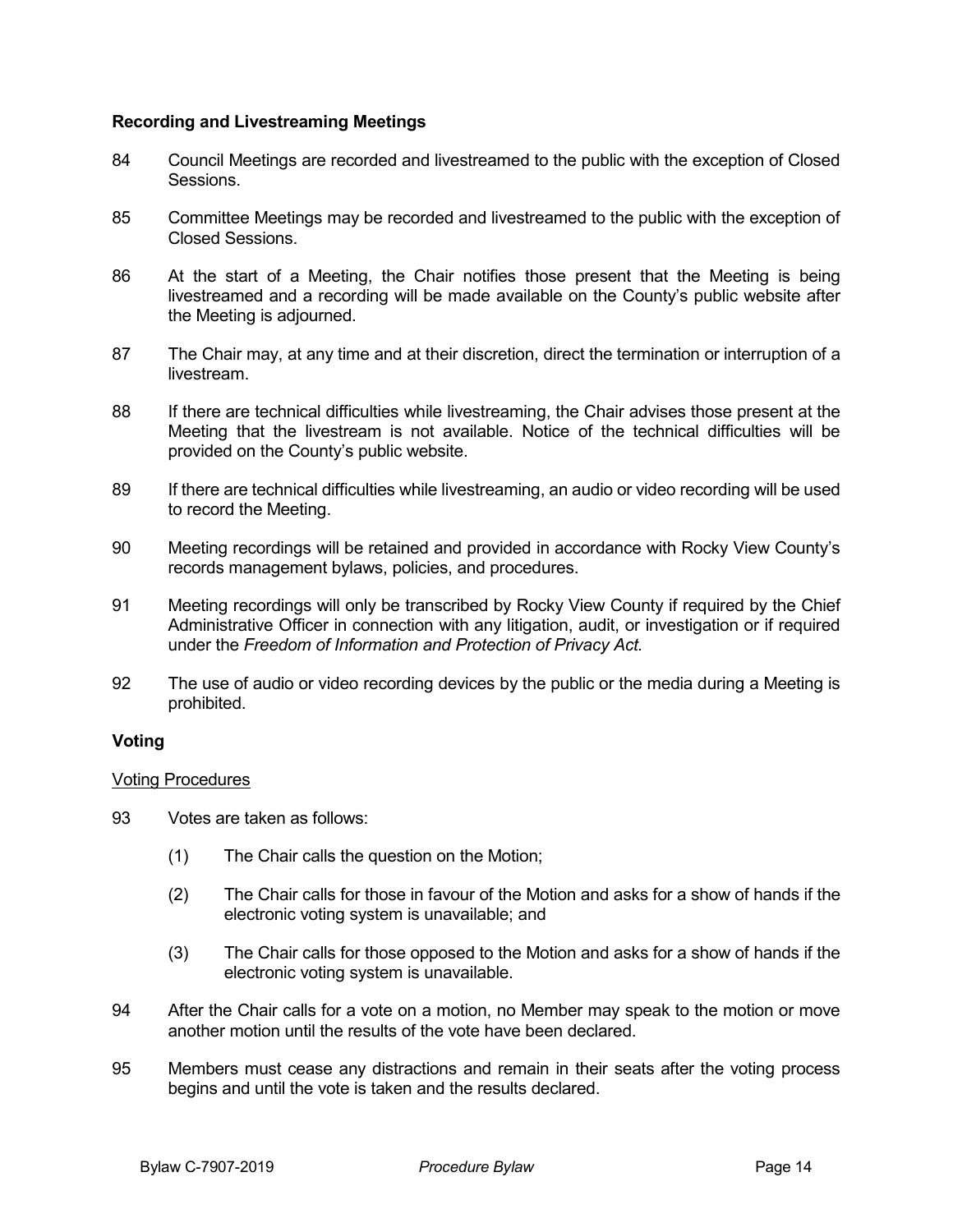# **Recording and Livestreaming Meetings**

- 84 Council Meetings are recorded and livestreamed to the public with the exception of Closed Sessions.
- 85 Committee Meetings may be recorded and livestreamed to the public with the exception of Closed Sessions.
- 86 At the start of a Meeting, the Chair notifies those present that the Meeting is being livestreamed and a recording will be made available on the County's public website after the Meeting is adjourned.
- 87 The Chair may, at any time and at their discretion, direct the termination or interruption of a livestream.
- 88 If there are technical difficulties while livestreaming, the Chair advises those present at the Meeting that the livestream is not available. Notice of the technical difficulties will be provided on the County's public website.
- 89 If there are technical difficulties while livestreaming, an audio or video recording will be used to record the Meeting.
- 90 Meeting recordings will be retained and provided in accordance with Rocky View County's records management bylaws, policies, and procedures.
- 91 Meeting recordings will only be transcribed by Rocky View County if required by the Chief Administrative Officer in connection with any litigation, audit, or investigation or if required under the *Freedom of Information and Protection of Privacy Act.*
- 92 The use of audio or video recording devices by the public or the media during a Meeting is prohibited.

# **Voting**

# Voting Procedures

- 93 Votes are taken as follows:
	- (1) The Chair calls the question on the Motion;
	- (2) The Chair calls for those in favour of the Motion and asks for a show of hands if the electronic voting system is unavailable; and
	- (3) The Chair calls for those opposed to the Motion and asks for a show of hands if the electronic voting system is unavailable.
- 94 After the Chair calls for a vote on a motion, no Member may speak to the motion or move another motion until the results of the vote have been declared.
- 95 Members must cease any distractions and remain in their seats after the voting process begins and until the vote is taken and the results declared.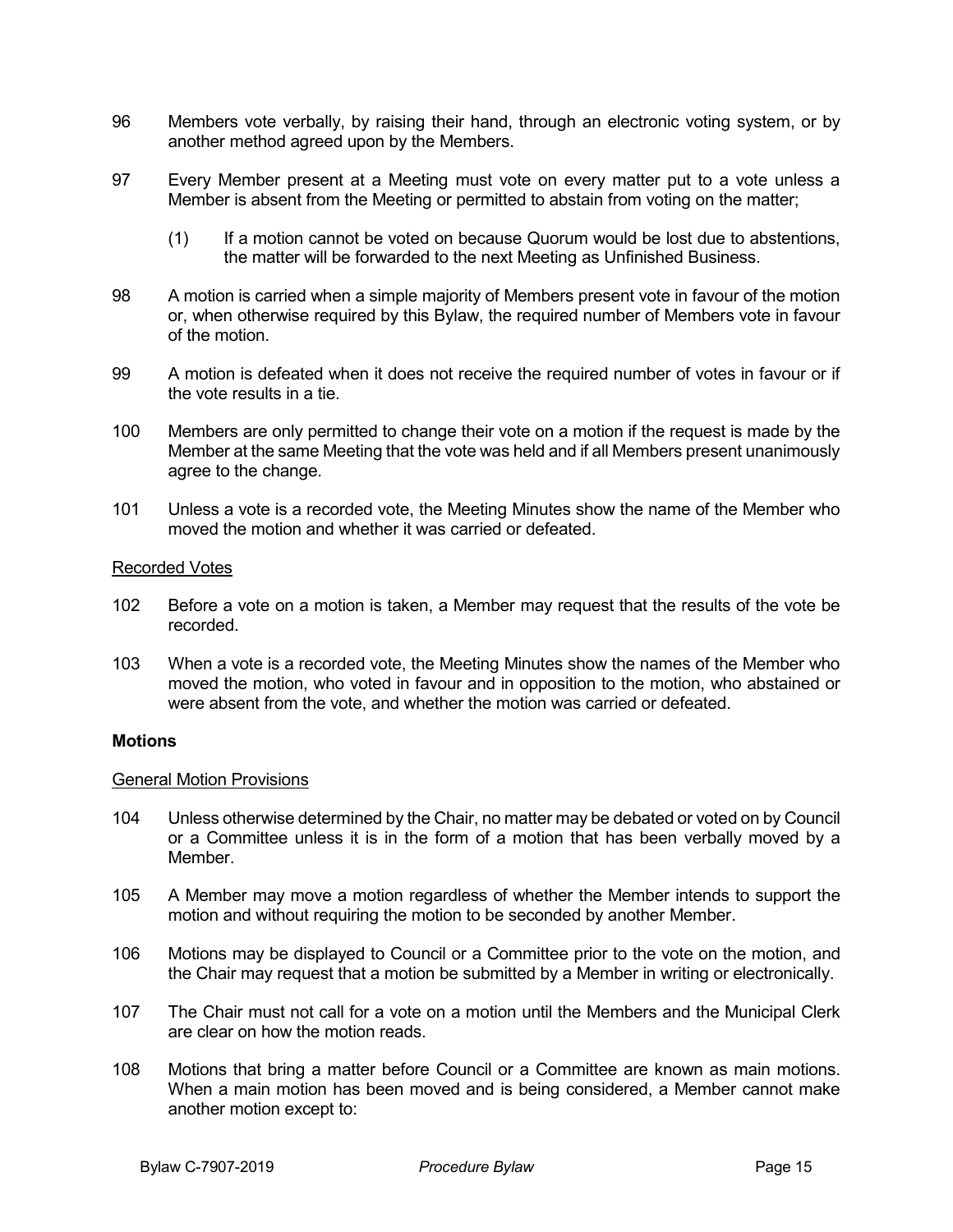- 96 Members vote verbally, by raising their hand, through an electronic voting system, or by another method agreed upon by the Members.
- 97 Every Member present at a Meeting must vote on every matter put to a vote unless a Member is absent from the Meeting or permitted to abstain from voting on the matter;
	- (1) If a motion cannot be voted on because Quorum would be lost due to abstentions, the matter will be forwarded to the next Meeting as Unfinished Business.
- 98 A motion is carried when a simple majority of Members present vote in favour of the motion or, when otherwise required by this Bylaw, the required number of Members vote in favour of the motion.
- 99 A motion is defeated when it does not receive the required number of votes in favour or if the vote results in a tie.
- 100 Members are only permitted to change their vote on a motion if the request is made by the Member at the same Meeting that the vote was held and if all Members present unanimously agree to the change.
- 101 Unless a vote is a recorded vote, the Meeting Minutes show the name of the Member who moved the motion and whether it was carried or defeated.

#### Recorded Votes

- 102 Before a vote on a motion is taken, a Member may request that the results of the vote be recorded.
- 103 When a vote is a recorded vote, the Meeting Minutes show the names of the Member who moved the motion, who voted in favour and in opposition to the motion, who abstained or were absent from the vote, and whether the motion was carried or defeated.

# **Motions**

#### General Motion Provisions

- 104 Unless otherwise determined by the Chair, no matter may be debated or voted on by Council or a Committee unless it is in the form of a motion that has been verbally moved by a Member.
- 105 A Member may move a motion regardless of whether the Member intends to support the motion and without requiring the motion to be seconded by another Member.
- 106 Motions may be displayed to Council or a Committee prior to the vote on the motion, and the Chair may request that a motion be submitted by a Member in writing or electronically.
- 107 The Chair must not call for a vote on a motion until the Members and the Municipal Clerk are clear on how the motion reads.
- 108 Motions that bring a matter before Council or a Committee are known as main motions. When a main motion has been moved and is being considered, a Member cannot make another motion except to: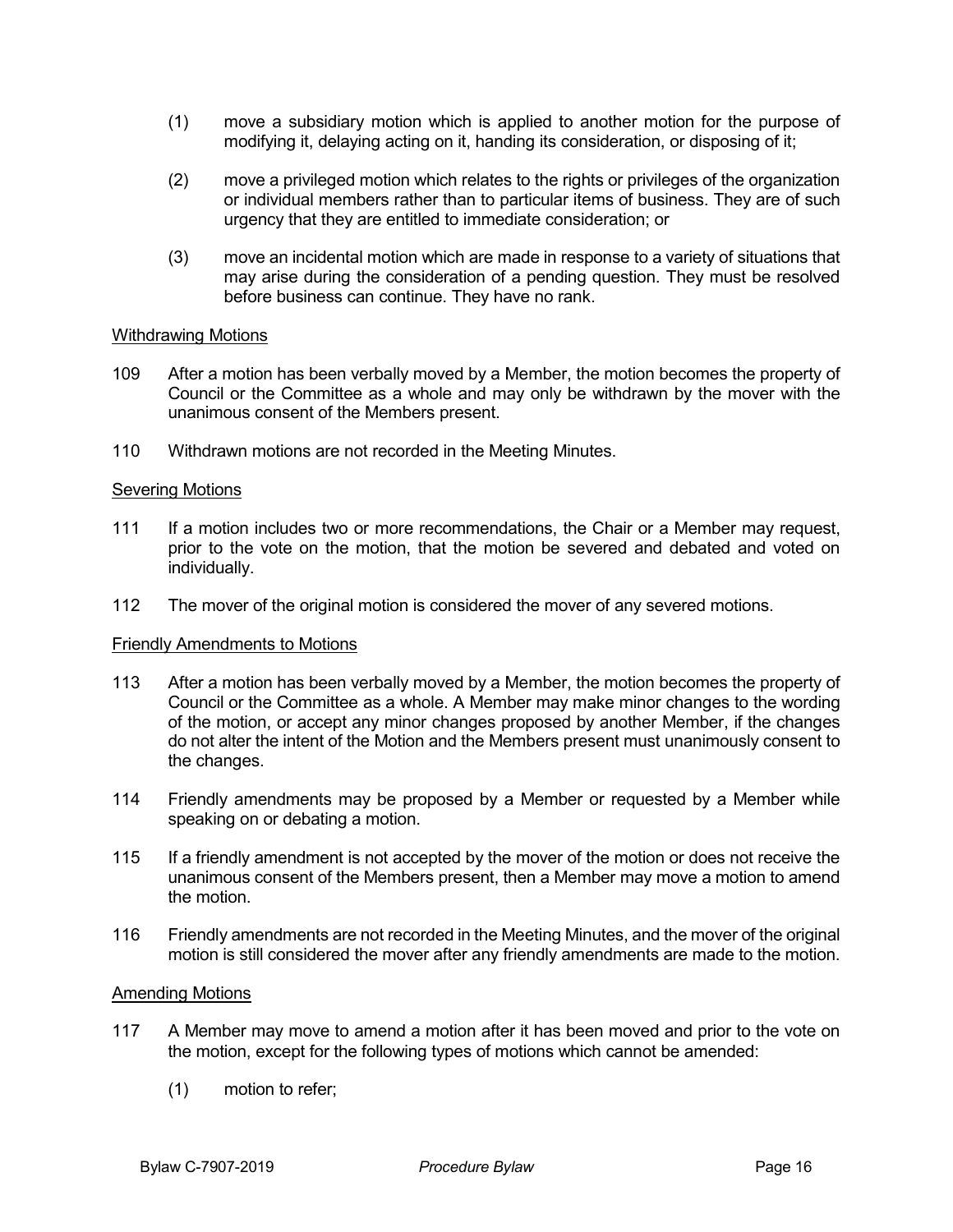- (1) move a subsidiary motion which is applied to another motion for the purpose of modifying it, delaying acting on it, handing its consideration, or disposing of it;
- (2) move a privileged motion which relates to the rights or privileges of the organization or individual members rather than to particular items of business. They are of such urgency that they are entitled to immediate consideration; or
- (3) move an incidental motion which are made in response to a variety of situations that may arise during the consideration of a pending question. They must be resolved before business can continue. They have no rank.

# Withdrawing Motions

- 109 After a motion has been verbally moved by a Member, the motion becomes the property of Council or the Committee as a whole and may only be withdrawn by the mover with the unanimous consent of the Members present.
- 110 Withdrawn motions are not recorded in the Meeting Minutes.

#### Severing Motions

- 111 If a motion includes two or more recommendations, the Chair or a Member may request, prior to the vote on the motion, that the motion be severed and debated and voted on individually.
- 112 The mover of the original motion is considered the mover of any severed motions.

#### Friendly Amendments to Motions

- 113 After a motion has been verbally moved by a Member, the motion becomes the property of Council or the Committee as a whole. A Member may make minor changes to the wording of the motion, or accept any minor changes proposed by another Member, if the changes do not alter the intent of the Motion and the Members present must unanimously consent to the changes.
- 114 Friendly amendments may be proposed by a Member or requested by a Member while speaking on or debating a motion.
- 115 If a friendly amendment is not accepted by the mover of the motion or does not receive the unanimous consent of the Members present, then a Member may move a motion to amend the motion.
- 116 Friendly amendments are not recorded in the Meeting Minutes, and the mover of the original motion is still considered the mover after any friendly amendments are made to the motion.

#### Amending Motions

- 117 A Member may move to amend a motion after it has been moved and prior to the vote on the motion, except for the following types of motions which cannot be amended:
	- (1) motion to refer;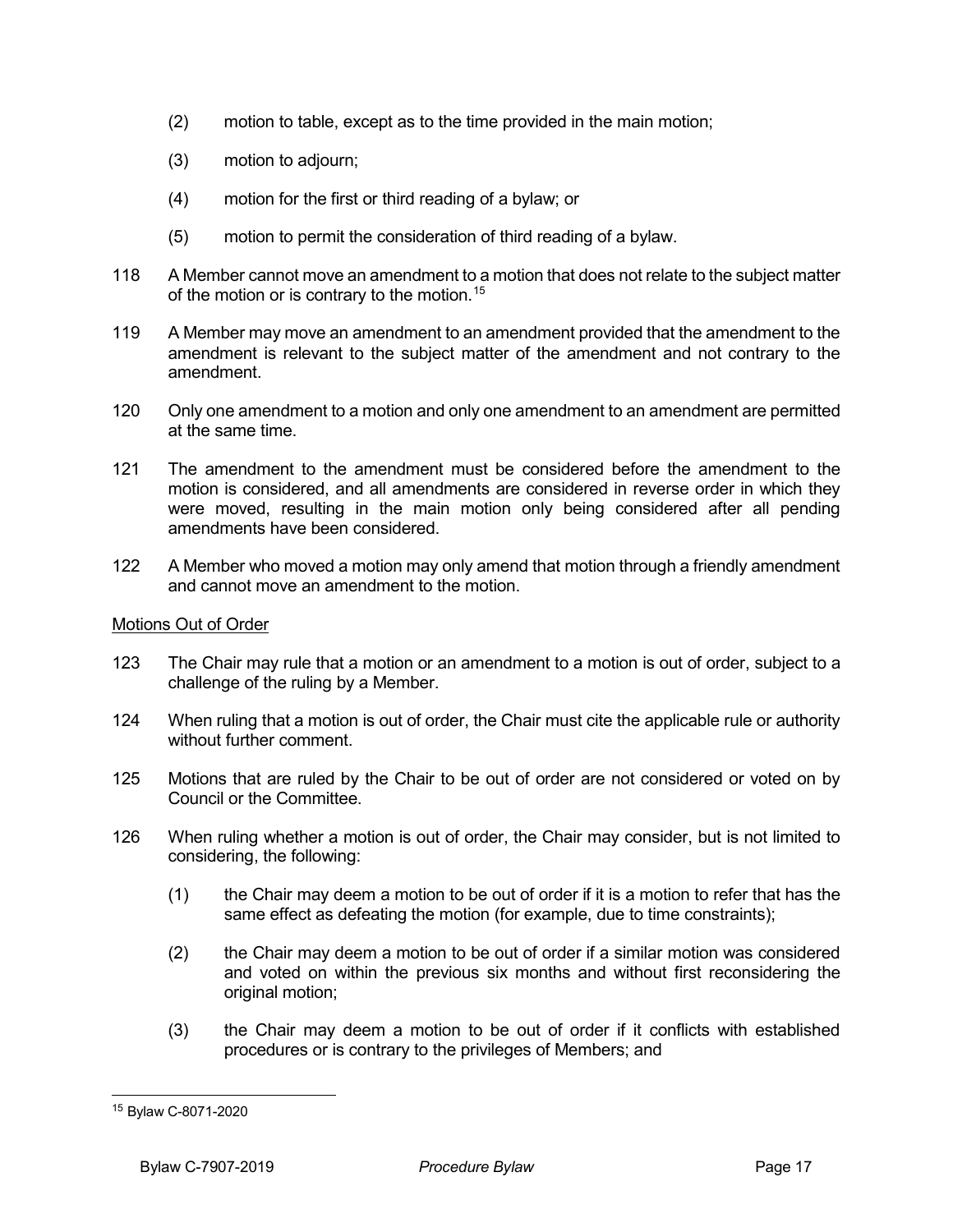- (2) motion to table, except as to the time provided in the main motion;
- (3) motion to adjourn;
- (4) motion for the first or third reading of a bylaw; or
- (5) motion to permit the consideration of third reading of a bylaw.
- 118 A Member cannot move an amendment to a motion that does not relate to the subject matter of the motion or is contrary to the motion.<sup>[15](#page-16-0)</sup>
- 119 A Member may move an amendment to an amendment provided that the amendment to the amendment is relevant to the subject matter of the amendment and not contrary to the amendment.
- 120 Only one amendment to a motion and only one amendment to an amendment are permitted at the same time.
- 121 The amendment to the amendment must be considered before the amendment to the motion is considered, and all amendments are considered in reverse order in which they were moved, resulting in the main motion only being considered after all pending amendments have been considered.
- 122 A Member who moved a motion may only amend that motion through a friendly amendment and cannot move an amendment to the motion.

# Motions Out of Order

- 123 The Chair may rule that a motion or an amendment to a motion is out of order, subject to a challenge of the ruling by a Member.
- 124 When ruling that a motion is out of order, the Chair must cite the applicable rule or authority without further comment.
- 125 Motions that are ruled by the Chair to be out of order are not considered or voted on by Council or the Committee.
- 126 When ruling whether a motion is out of order, the Chair may consider, but is not limited to considering, the following:
	- (1) the Chair may deem a motion to be out of order if it is a motion to refer that has the same effect as defeating the motion (for example, due to time constraints);
	- (2) the Chair may deem a motion to be out of order if a similar motion was considered and voted on within the previous six months and without first reconsidering the original motion;
	- (3) the Chair may deem a motion to be out of order if it conflicts with established procedures or is contrary to the privileges of Members; and

<span id="page-16-0"></span> <sup>15</sup> Bylaw C-8071-2020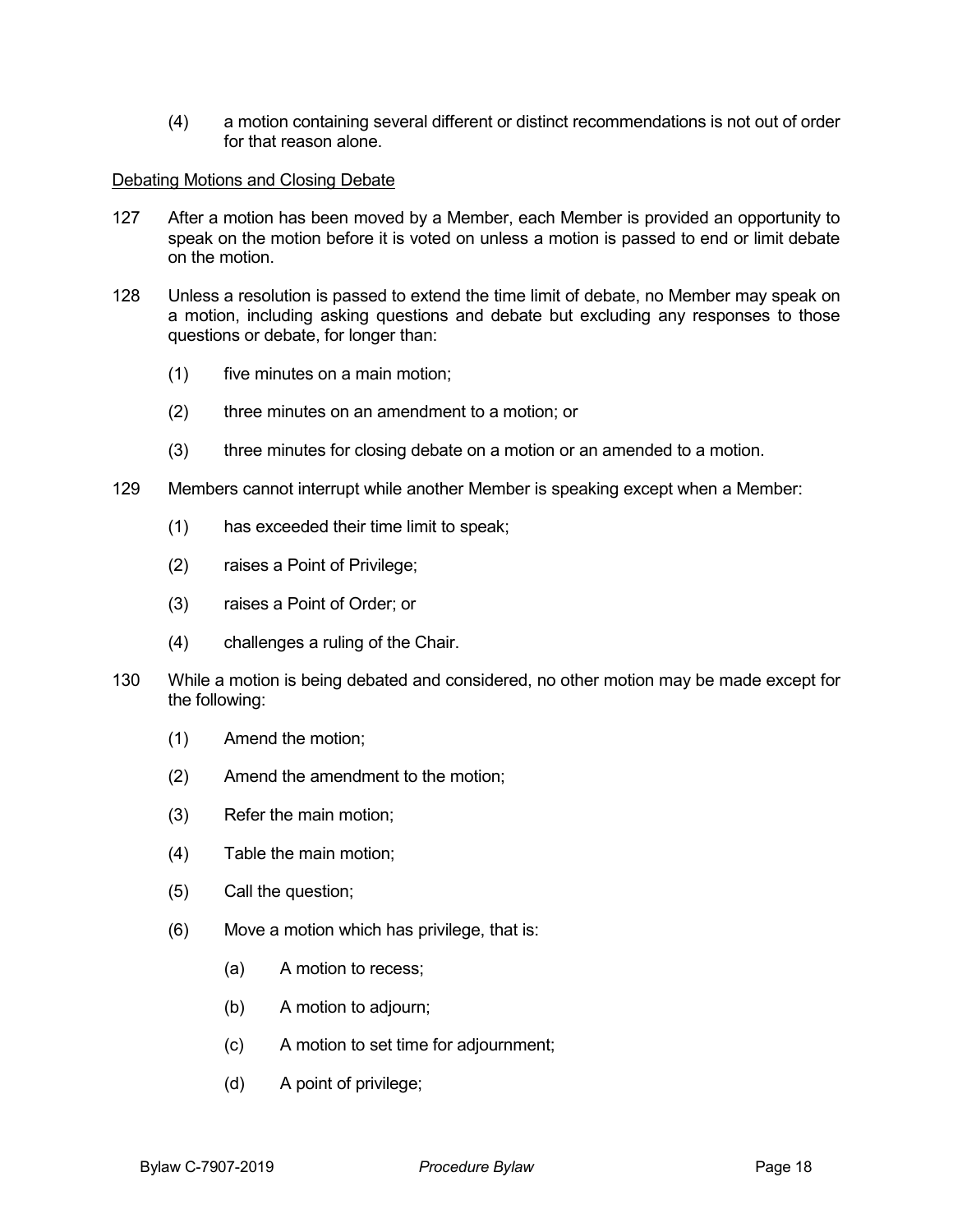(4) a motion containing several different or distinct recommendations is not out of order for that reason alone.

# Debating Motions and Closing Debate

- 127 After a motion has been moved by a Member, each Member is provided an opportunity to speak on the motion before it is voted on unless a motion is passed to end or limit debate on the motion.
- 128 Unless a resolution is passed to extend the time limit of debate, no Member may speak on a motion, including asking questions and debate but excluding any responses to those questions or debate, for longer than:
	- (1) five minutes on a main motion;
	- (2) three minutes on an amendment to a motion; or
	- (3) three minutes for closing debate on a motion or an amended to a motion.
- 129 Members cannot interrupt while another Member is speaking except when a Member:
	- (1) has exceeded their time limit to speak;
	- (2) raises a Point of Privilege;
	- (3) raises a Point of Order; or
	- (4) challenges a ruling of the Chair.
- 130 While a motion is being debated and considered, no other motion may be made except for the following:
	- (1) Amend the motion;
	- (2) Amend the amendment to the motion;
	- (3) Refer the main motion;
	- (4) Table the main motion;
	- (5) Call the question;
	- (6) Move a motion which has privilege, that is:
		- (a) A motion to recess;
		- (b) A motion to adjourn;
		- (c) A motion to set time for adjournment;
		- (d) A point of privilege;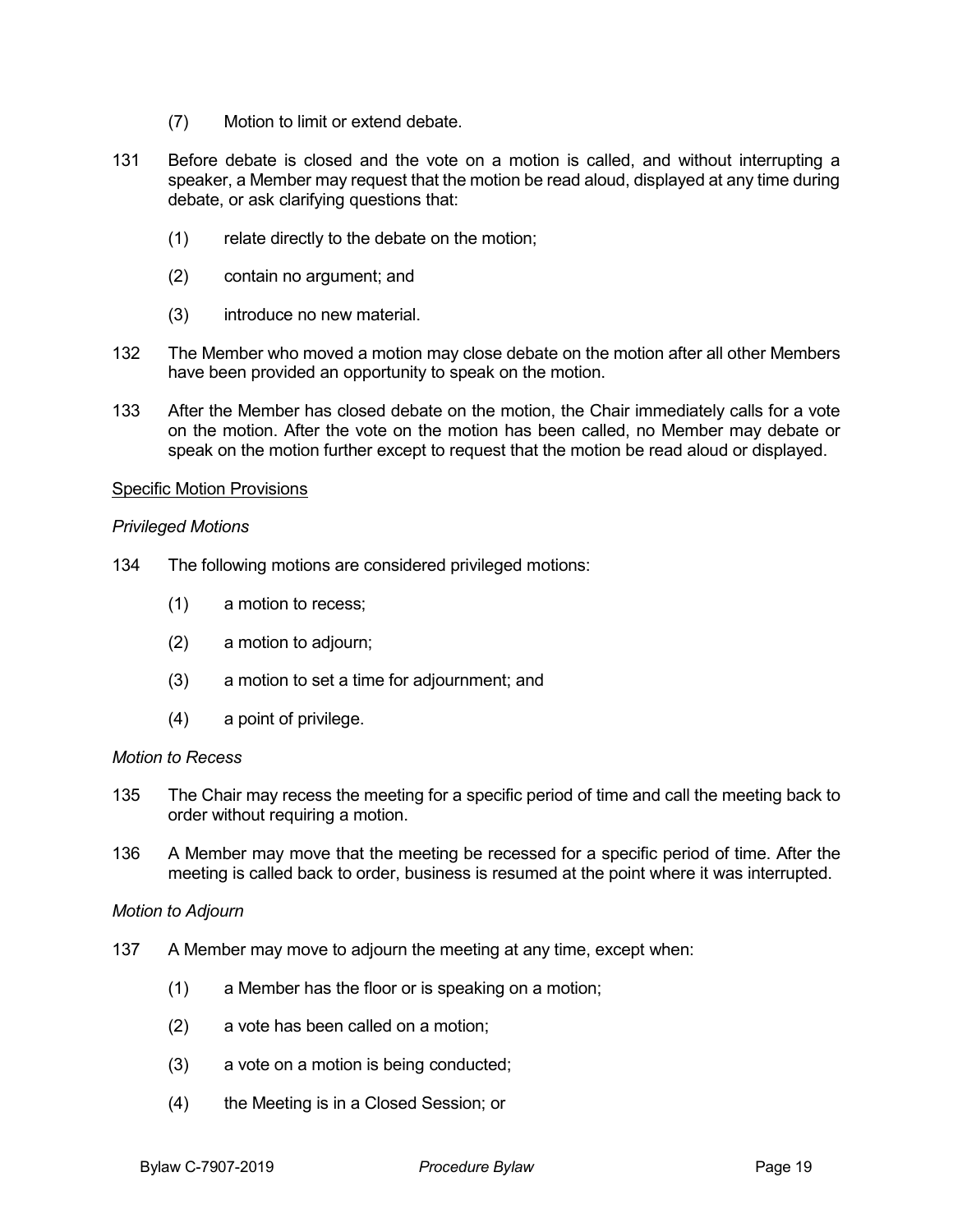- (7) Motion to limit or extend debate.
- 131 Before debate is closed and the vote on a motion is called, and without interrupting a speaker, a Member may request that the motion be read aloud, displayed at any time during debate, or ask clarifying questions that:
	- (1) relate directly to the debate on the motion;
	- (2) contain no argument; and
	- (3) introduce no new material.
- 132 The Member who moved a motion may close debate on the motion after all other Members have been provided an opportunity to speak on the motion.
- 133 After the Member has closed debate on the motion, the Chair immediately calls for a vote on the motion. After the vote on the motion has been called, no Member may debate or speak on the motion further except to request that the motion be read aloud or displayed.

#### Specific Motion Provisions

#### *Privileged Motions*

- 134 The following motions are considered privileged motions:
	- (1) a motion to recess;
	- (2) a motion to adjourn;
	- (3) a motion to set a time for adjournment; and
	- (4) a point of privilege.

# *Motion to Recess*

- 135 The Chair may recess the meeting for a specific period of time and call the meeting back to order without requiring a motion.
- 136 A Member may move that the meeting be recessed for a specific period of time. After the meeting is called back to order, business is resumed at the point where it was interrupted.

# *Motion to Adjourn*

- 137 A Member may move to adjourn the meeting at any time, except when:
	- (1) a Member has the floor or is speaking on a motion;
	- (2) a vote has been called on a motion;
	- (3) a vote on a motion is being conducted;
	- (4) the Meeting is in a Closed Session; or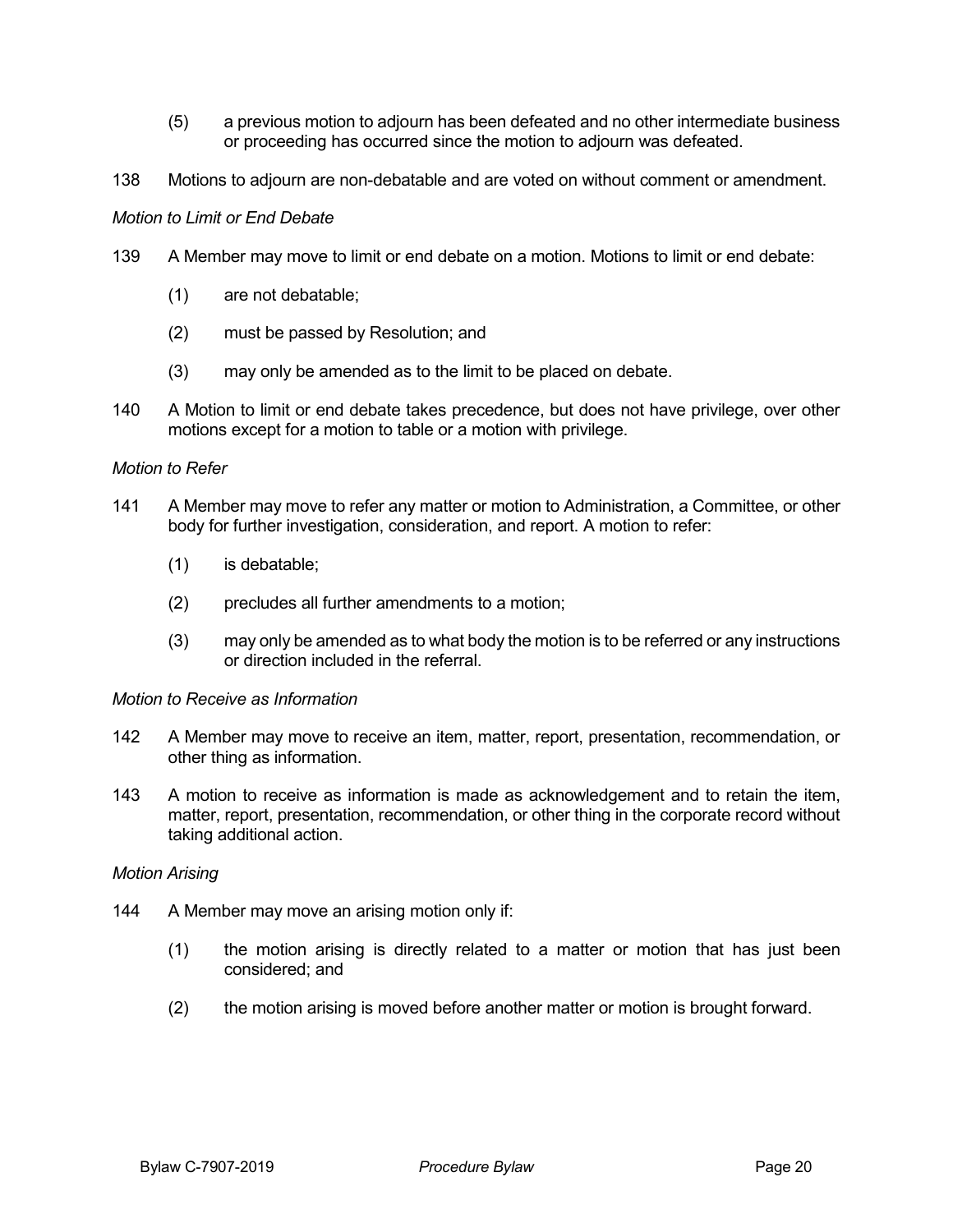- (5) a previous motion to adjourn has been defeated and no other intermediate business or proceeding has occurred since the motion to adjourn was defeated.
- 138 Motions to adjourn are non-debatable and are voted on without comment or amendment.

# *Motion to Limit or End Debate*

- 139 A Member may move to limit or end debate on a motion. Motions to limit or end debate:
	- (1) are not debatable;
	- (2) must be passed by Resolution; and
	- (3) may only be amended as to the limit to be placed on debate.
- 140 A Motion to limit or end debate takes precedence, but does not have privilege, over other motions except for a motion to table or a motion with privilege.

#### *Motion to Refer*

- 141 A Member may move to refer any matter or motion to Administration, a Committee, or other body for further investigation, consideration, and report. A motion to refer:
	- (1) is debatable;
	- (2) precludes all further amendments to a motion;
	- (3) may only be amended as to what body the motion is to be referred or any instructions or direction included in the referral.

#### *Motion to Receive as Information*

- 142 A Member may move to receive an item, matter, report, presentation, recommendation, or other thing as information.
- 143 A motion to receive as information is made as acknowledgement and to retain the item, matter, report, presentation, recommendation, or other thing in the corporate record without taking additional action.

# *Motion Arising*

- 144 A Member may move an arising motion only if:
	- (1) the motion arising is directly related to a matter or motion that has just been considered; and
	- (2) the motion arising is moved before another matter or motion is brought forward.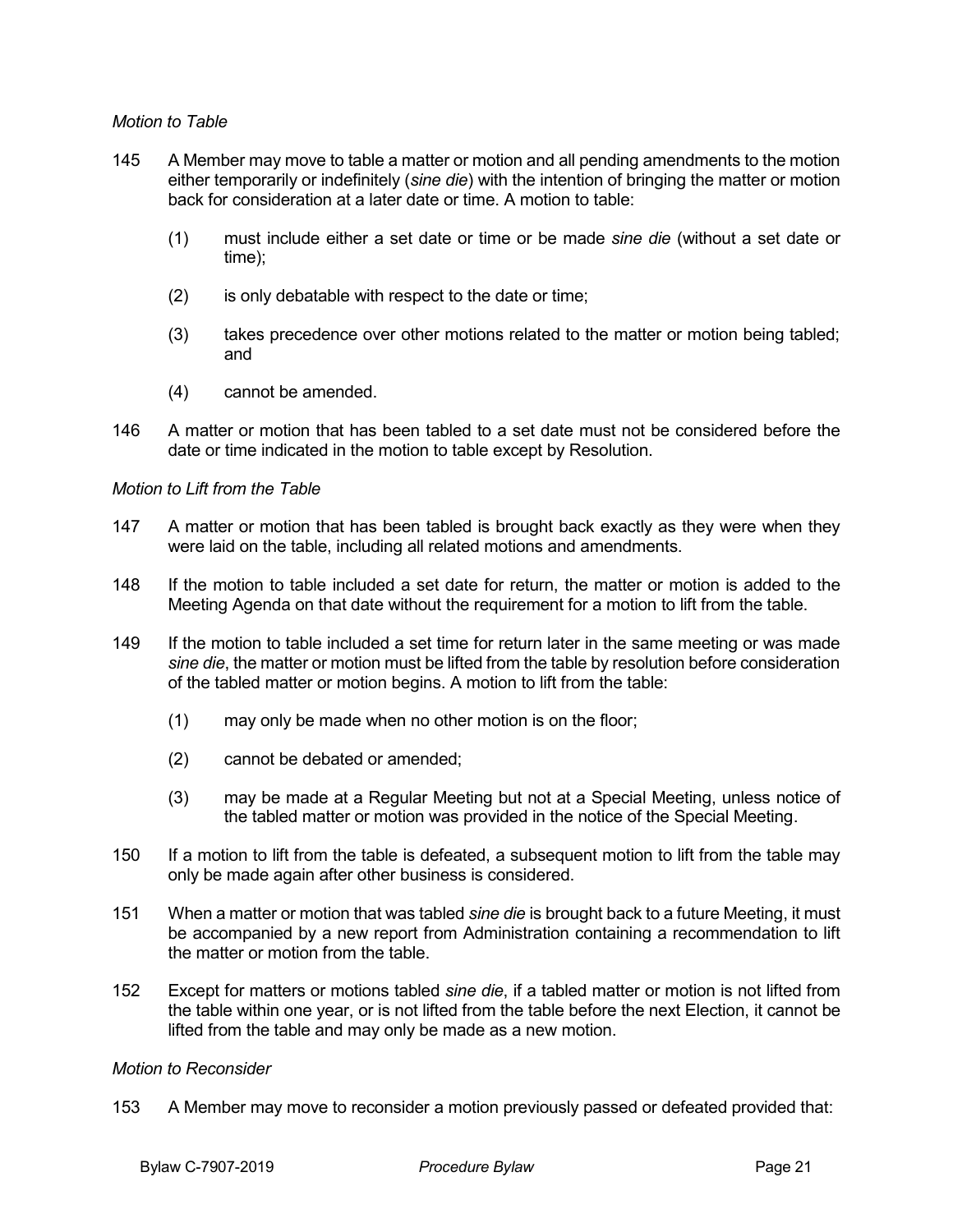# *Motion to Table*

- 145 A Member may move to table a matter or motion and all pending amendments to the motion either temporarily or indefinitely (*sine die*) with the intention of bringing the matter or motion back for consideration at a later date or time. A motion to table:
	- (1) must include either a set date or time or be made *sine die* (without a set date or time);
	- (2) is only debatable with respect to the date or time;
	- (3) takes precedence over other motions related to the matter or motion being tabled; and
	- (4) cannot be amended.
- 146 A matter or motion that has been tabled to a set date must not be considered before the date or time indicated in the motion to table except by Resolution.

# *Motion to Lift from the Table*

- 147 A matter or motion that has been tabled is brought back exactly as they were when they were laid on the table, including all related motions and amendments.
- 148 If the motion to table included a set date for return, the matter or motion is added to the Meeting Agenda on that date without the requirement for a motion to lift from the table.
- 149 If the motion to table included a set time for return later in the same meeting or was made *sine die*, the matter or motion must be lifted from the table by resolution before consideration of the tabled matter or motion begins. A motion to lift from the table:
	- (1) may only be made when no other motion is on the floor;
	- (2) cannot be debated or amended;
	- (3) may be made at a Regular Meeting but not at a Special Meeting, unless notice of the tabled matter or motion was provided in the notice of the Special Meeting.
- 150 If a motion to lift from the table is defeated, a subsequent motion to lift from the table may only be made again after other business is considered.
- 151 When a matter or motion that was tabled *sine die* is brought back to a future Meeting, it must be accompanied by a new report from Administration containing a recommendation to lift the matter or motion from the table.
- 152 Except for matters or motions tabled *sine die*, if a tabled matter or motion is not lifted from the table within one year, or is not lifted from the table before the next Election, it cannot be lifted from the table and may only be made as a new motion.

#### *Motion to Reconsider*

153 A Member may move to reconsider a motion previously passed or defeated provided that: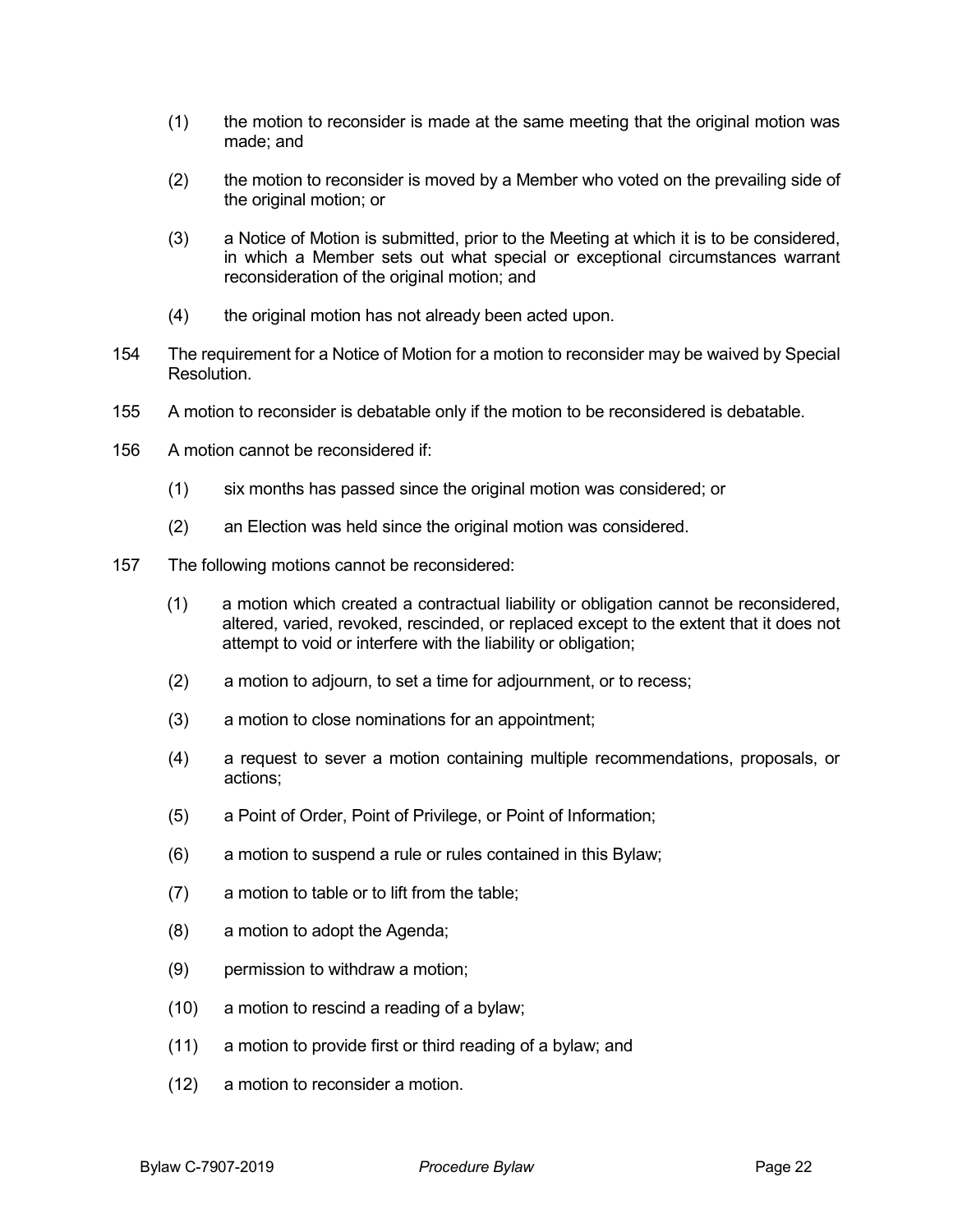- (1) the motion to reconsider is made at the same meeting that the original motion was made; and
- (2) the motion to reconsider is moved by a Member who voted on the prevailing side of the original motion; or
- (3) a Notice of Motion is submitted, prior to the Meeting at which it is to be considered, in which a Member sets out what special or exceptional circumstances warrant reconsideration of the original motion; and
- (4) the original motion has not already been acted upon.
- 154 The requirement for a Notice of Motion for a motion to reconsider may be waived by Special Resolution.
- 155 A motion to reconsider is debatable only if the motion to be reconsidered is debatable.
- 156 A motion cannot be reconsidered if:
	- (1) six months has passed since the original motion was considered; or
	- (2) an Election was held since the original motion was considered.
- 157 The following motions cannot be reconsidered:
	- (1) a motion which created a contractual liability or obligation cannot be reconsidered, altered, varied, revoked, rescinded, or replaced except to the extent that it does not attempt to void or interfere with the liability or obligation;
	- (2) a motion to adjourn, to set a time for adjournment, or to recess;
	- (3) a motion to close nominations for an appointment;
	- (4) a request to sever a motion containing multiple recommendations, proposals, or actions;
	- (5) a Point of Order, Point of Privilege, or Point of Information;
	- (6) a motion to suspend a rule or rules contained in this Bylaw;
	- (7) a motion to table or to lift from the table;
	- (8) a motion to adopt the Agenda;
	- (9) permission to withdraw a motion;
	- (10) a motion to rescind a reading of a bylaw;
	- (11) a motion to provide first or third reading of a bylaw; and
	- (12) a motion to reconsider a motion.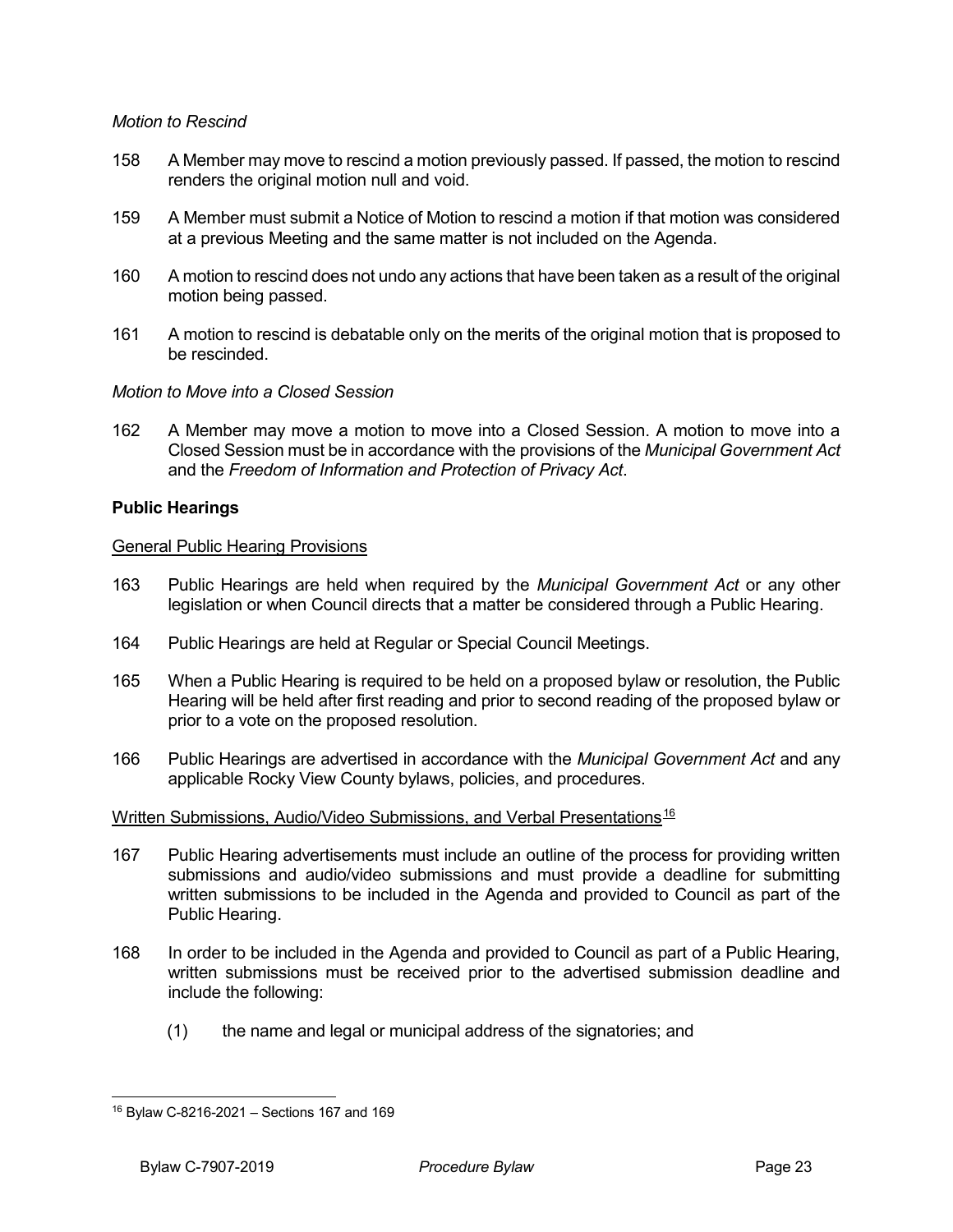# *Motion to Rescind*

- 158 A Member may move to rescind a motion previously passed. If passed, the motion to rescind renders the original motion null and void.
- 159 A Member must submit a Notice of Motion to rescind a motion if that motion was considered at a previous Meeting and the same matter is not included on the Agenda.
- 160 A motion to rescind does not undo any actions that have been taken as a result of the original motion being passed.
- 161 A motion to rescind is debatable only on the merits of the original motion that is proposed to be rescinded.

# *Motion to Move into a Closed Session*

162 A Member may move a motion to move into a Closed Session. A motion to move into a Closed Session must be in accordance with the provisions of the *Municipal Government Act* and the *Freedom of Information and Protection of Privacy Act*.

# **Public Hearings**

# General Public Hearing Provisions

- 163 Public Hearings are held when required by the *Municipal Government Act* or any other legislation or when Council directs that a matter be considered through a Public Hearing.
- 164 Public Hearings are held at Regular or Special Council Meetings.
- 165 When a Public Hearing is required to be held on a proposed bylaw or resolution, the Public Hearing will be held after first reading and prior to second reading of the proposed bylaw or prior to a vote on the proposed resolution.
- 166 Public Hearings are advertised in accordance with the *Municipal Government Act* and any applicable Rocky View County bylaws, policies, and procedures.

# Written Submissions, Audio/Video Submissions, and Verbal Presentations<sup>[16](#page-22-0)</sup>

- 167 Public Hearing advertisements must include an outline of the process for providing written submissions and audio/video submissions and must provide a deadline for submitting written submissions to be included in the Agenda and provided to Council as part of the Public Hearing.
- 168 In order to be included in the Agenda and provided to Council as part of a Public Hearing, written submissions must be received prior to the advertised submission deadline and include the following:
	- (1) the name and legal or municipal address of the signatories; and

<span id="page-22-0"></span> <sup>16</sup> Bylaw C-8216-2021 – Sections 167 and 169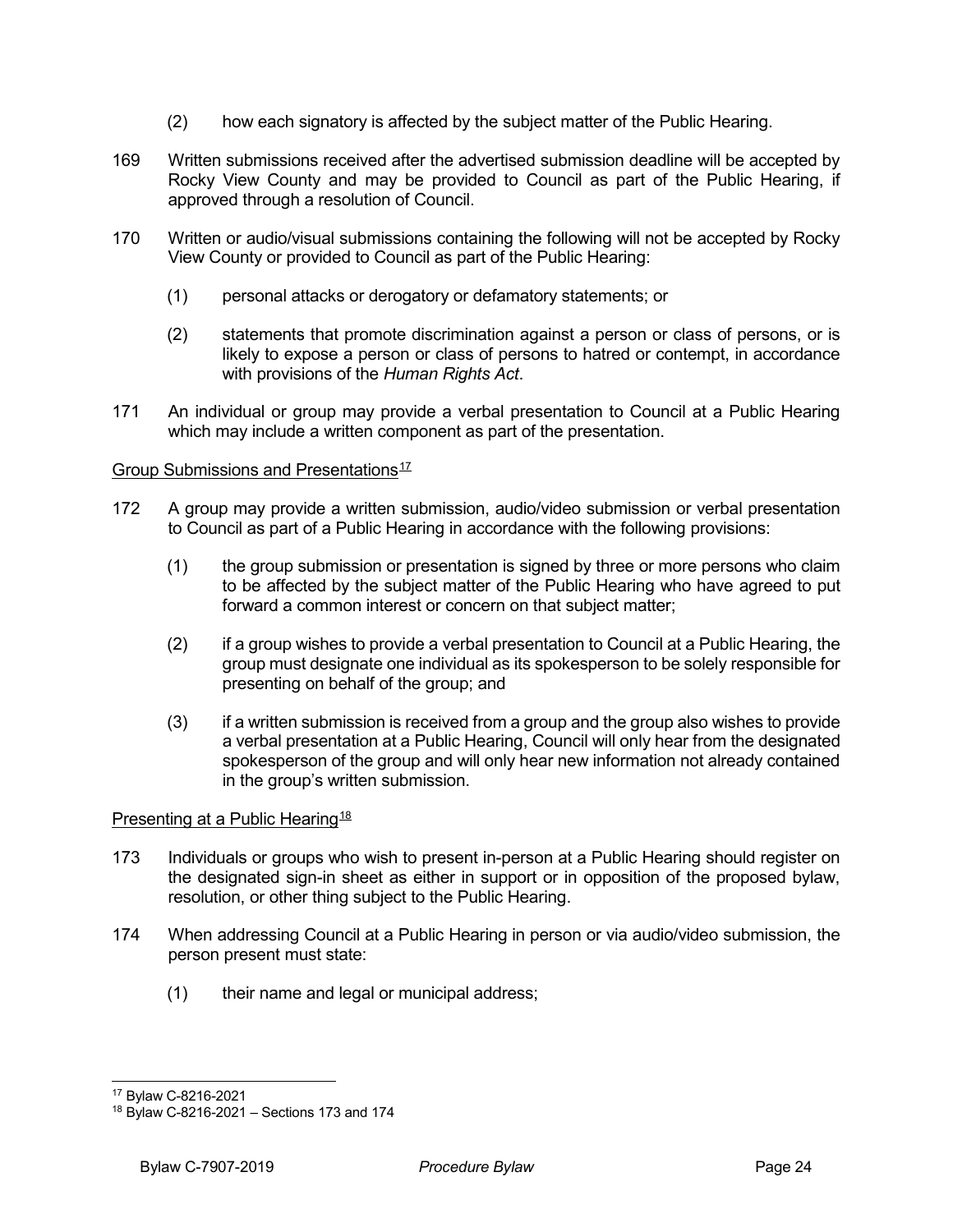- (2) how each signatory is affected by the subject matter of the Public Hearing.
- 169 Written submissions received after the advertised submission deadline will be accepted by Rocky View County and may be provided to Council as part of the Public Hearing, if approved through a resolution of Council.
- 170 Written or audio/visual submissions containing the following will not be accepted by Rocky View County or provided to Council as part of the Public Hearing:
	- (1) personal attacks or derogatory or defamatory statements; or
	- (2) statements that promote discrimination against a person or class of persons, or is likely to expose a person or class of persons to hatred or contempt, in accordance with provisions of the *Human Rights Act*.
- 171 An individual or group may provide a verbal presentation to Council at a Public Hearing which may include a written component as part of the presentation.

# Group Submissions and Presentations<sup>[17](#page-23-0)</sup>

- 172 A group may provide a written submission, audio/video submission or verbal presentation to Council as part of a Public Hearing in accordance with the following provisions:
	- (1) the group submission or presentation is signed by three or more persons who claim to be affected by the subject matter of the Public Hearing who have agreed to put forward a common interest or concern on that subject matter;
	- (2) if a group wishes to provide a verbal presentation to Council at a Public Hearing, the group must designate one individual as its spokesperson to be solely responsible for presenting on behalf of the group; and
	- (3) if a written submission is received from a group and the group also wishes to provide a verbal presentation at a Public Hearing, Council will only hear from the designated spokesperson of the group and will only hear new information not already contained in the group's written submission.

# Presenting at a Public Hearing<sup>[18](#page-23-1)</sup>

- 173 Individuals or groups who wish to present in-person at a Public Hearing should register on the designated sign-in sheet as either in support or in opposition of the proposed bylaw, resolution, or other thing subject to the Public Hearing.
- 174 When addressing Council at a Public Hearing in person or via audio/video submission, the person present must state:
	- (1) their name and legal or municipal address;

<span id="page-23-0"></span> <sup>17</sup> Bylaw C-8216-2021

<span id="page-23-1"></span><sup>18</sup> Bylaw C-8216-2021 – Sections 173 and 174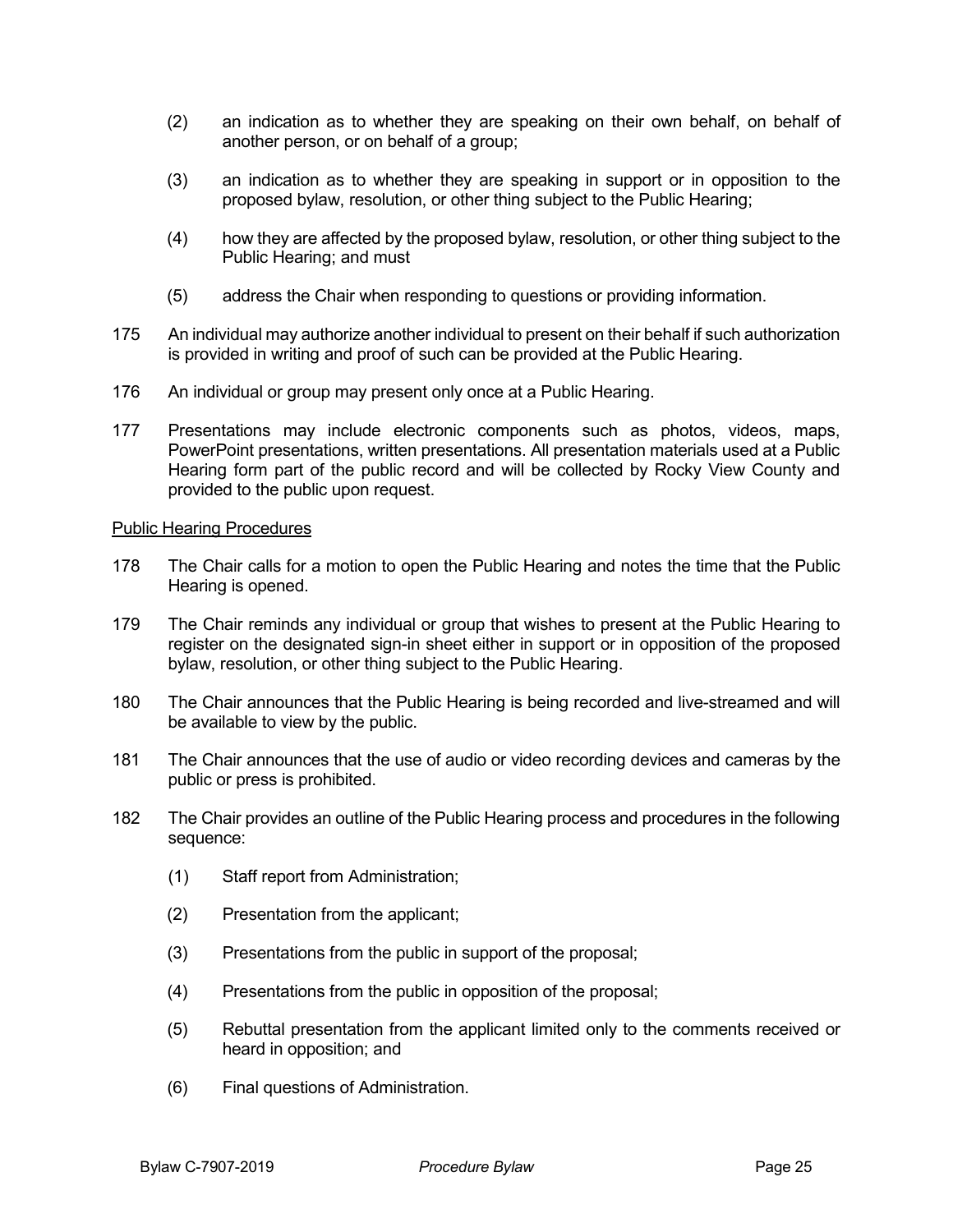- (2) an indication as to whether they are speaking on their own behalf, on behalf of another person, or on behalf of a group;
- (3) an indication as to whether they are speaking in support or in opposition to the proposed bylaw, resolution, or other thing subject to the Public Hearing;
- (4) how they are affected by the proposed bylaw, resolution, or other thing subject to the Public Hearing; and must
- (5) address the Chair when responding to questions or providing information.
- 175 An individual may authorize another individual to present on their behalf if such authorization is provided in writing and proof of such can be provided at the Public Hearing.
- 176 An individual or group may present only once at a Public Hearing.
- 177 Presentations may include electronic components such as photos, videos, maps, PowerPoint presentations, written presentations. All presentation materials used at a Public Hearing form part of the public record and will be collected by Rocky View County and provided to the public upon request.

#### Public Hearing Procedures

- 178 The Chair calls for a motion to open the Public Hearing and notes the time that the Public Hearing is opened.
- 179 The Chair reminds any individual or group that wishes to present at the Public Hearing to register on the designated sign-in sheet either in support or in opposition of the proposed bylaw, resolution, or other thing subject to the Public Hearing.
- 180 The Chair announces that the Public Hearing is being recorded and live-streamed and will be available to view by the public.
- 181 The Chair announces that the use of audio or video recording devices and cameras by the public or press is prohibited.
- 182 The Chair provides an outline of the Public Hearing process and procedures in the following sequence:
	- (1) Staff report from Administration;
	- (2) Presentation from the applicant;
	- (3) Presentations from the public in support of the proposal;
	- (4) Presentations from the public in opposition of the proposal;
	- (5) Rebuttal presentation from the applicant limited only to the comments received or heard in opposition; and
	- (6) Final questions of Administration.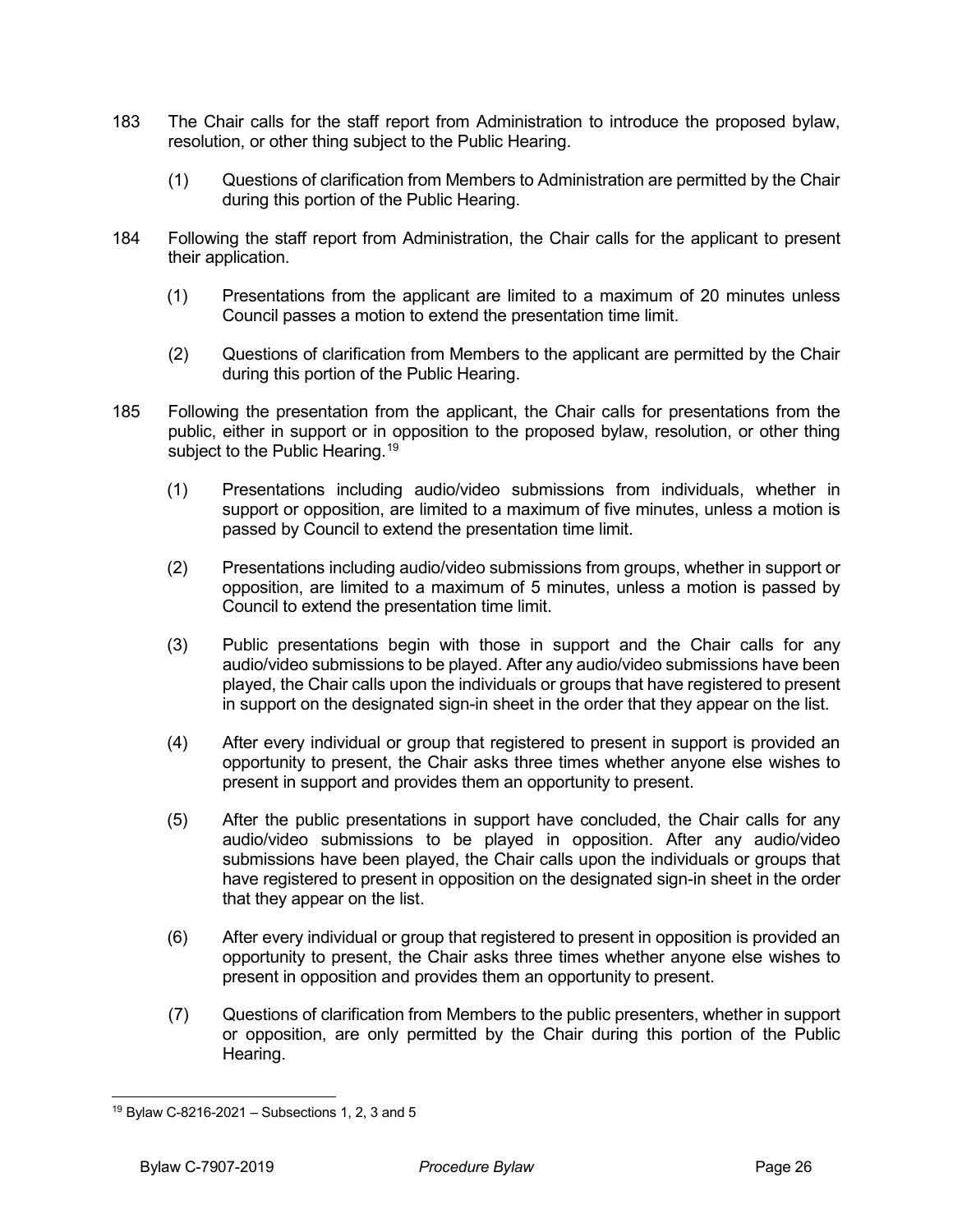- 183 The Chair calls for the staff report from Administration to introduce the proposed bylaw, resolution, or other thing subject to the Public Hearing.
	- (1) Questions of clarification from Members to Administration are permitted by the Chair during this portion of the Public Hearing.
- 184 Following the staff report from Administration, the Chair calls for the applicant to present their application.
	- (1) Presentations from the applicant are limited to a maximum of 20 minutes unless Council passes a motion to extend the presentation time limit.
	- (2) Questions of clarification from Members to the applicant are permitted by the Chair during this portion of the Public Hearing.
- 185 Following the presentation from the applicant, the Chair calls for presentations from the public, either in support or in opposition to the proposed bylaw, resolution, or other thing subject to the Public Hearing.<sup>[19](#page-25-0)</sup>
	- (1) Presentations including audio/video submissions from individuals, whether in support or opposition, are limited to a maximum of five minutes, unless a motion is passed by Council to extend the presentation time limit.
	- (2) Presentations including audio/video submissions from groups, whether in support or opposition, are limited to a maximum of 5 minutes, unless a motion is passed by Council to extend the presentation time limit.
	- (3) Public presentations begin with those in support and the Chair calls for any audio/video submissions to be played. After any audio/video submissions have been played, the Chair calls upon the individuals or groups that have registered to present in support on the designated sign-in sheet in the order that they appear on the list.
	- (4) After every individual or group that registered to present in support is provided an opportunity to present, the Chair asks three times whether anyone else wishes to present in support and provides them an opportunity to present.
	- (5) After the public presentations in support have concluded, the Chair calls for any audio/video submissions to be played in opposition. After any audio/video submissions have been played, the Chair calls upon the individuals or groups that have registered to present in opposition on the designated sign-in sheet in the order that they appear on the list.
	- (6) After every individual or group that registered to present in opposition is provided an opportunity to present, the Chair asks three times whether anyone else wishes to present in opposition and provides them an opportunity to present.
	- (7) Questions of clarification from Members to the public presenters, whether in support or opposition, are only permitted by the Chair during this portion of the Public Hearing.

<span id="page-25-0"></span> $19$  Bylaw C-8216-2021 – Subsections 1, 2, 3 and 5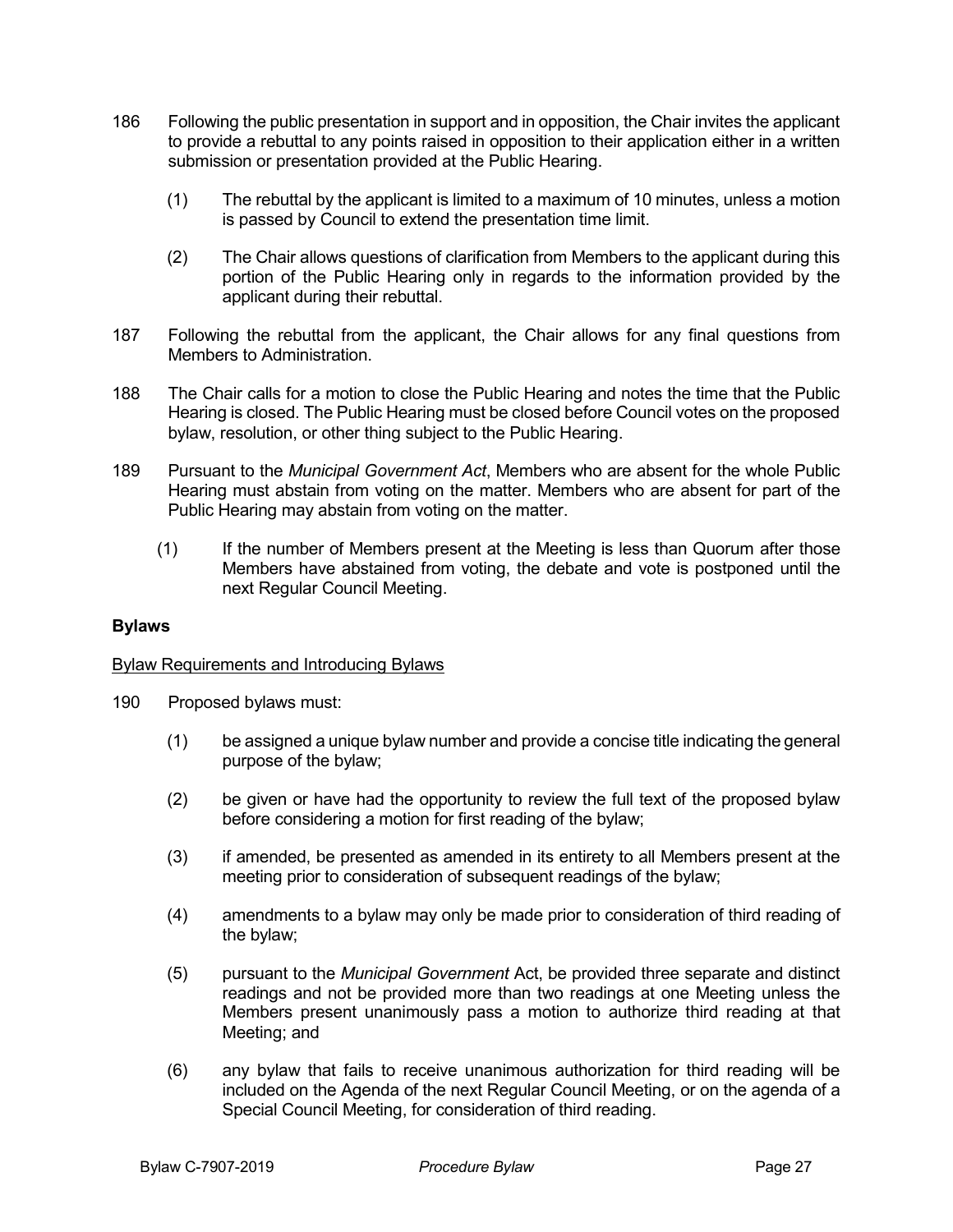- 186 Following the public presentation in support and in opposition, the Chair invites the applicant to provide a rebuttal to any points raised in opposition to their application either in a written submission or presentation provided at the Public Hearing.
	- (1) The rebuttal by the applicant is limited to a maximum of 10 minutes, unless a motion is passed by Council to extend the presentation time limit.
	- (2) The Chair allows questions of clarification from Members to the applicant during this portion of the Public Hearing only in regards to the information provided by the applicant during their rebuttal.
- 187 Following the rebuttal from the applicant, the Chair allows for any final questions from Members to Administration.
- 188 The Chair calls for a motion to close the Public Hearing and notes the time that the Public Hearing is closed. The Public Hearing must be closed before Council votes on the proposed bylaw, resolution, or other thing subject to the Public Hearing.
- 189 Pursuant to the *Municipal Government Act*, Members who are absent for the whole Public Hearing must abstain from voting on the matter. Members who are absent for part of the Public Hearing may abstain from voting on the matter.
	- (1) If the number of Members present at the Meeting is less than Quorum after those Members have abstained from voting, the debate and vote is postponed until the next Regular Council Meeting.

# **Bylaws**

# Bylaw Requirements and Introducing Bylaws

- 190 Proposed bylaws must:
	- (1) be assigned a unique bylaw number and provide a concise title indicating the general purpose of the bylaw;
	- (2) be given or have had the opportunity to review the full text of the proposed bylaw before considering a motion for first reading of the bylaw;
	- (3) if amended, be presented as amended in its entirety to all Members present at the meeting prior to consideration of subsequent readings of the bylaw;
	- (4) amendments to a bylaw may only be made prior to consideration of third reading of the bylaw;
	- (5) pursuant to the *Municipal Government* Act, be provided three separate and distinct readings and not be provided more than two readings at one Meeting unless the Members present unanimously pass a motion to authorize third reading at that Meeting; and
	- (6) any bylaw that fails to receive unanimous authorization for third reading will be included on the Agenda of the next Regular Council Meeting, or on the agenda of a Special Council Meeting, for consideration of third reading.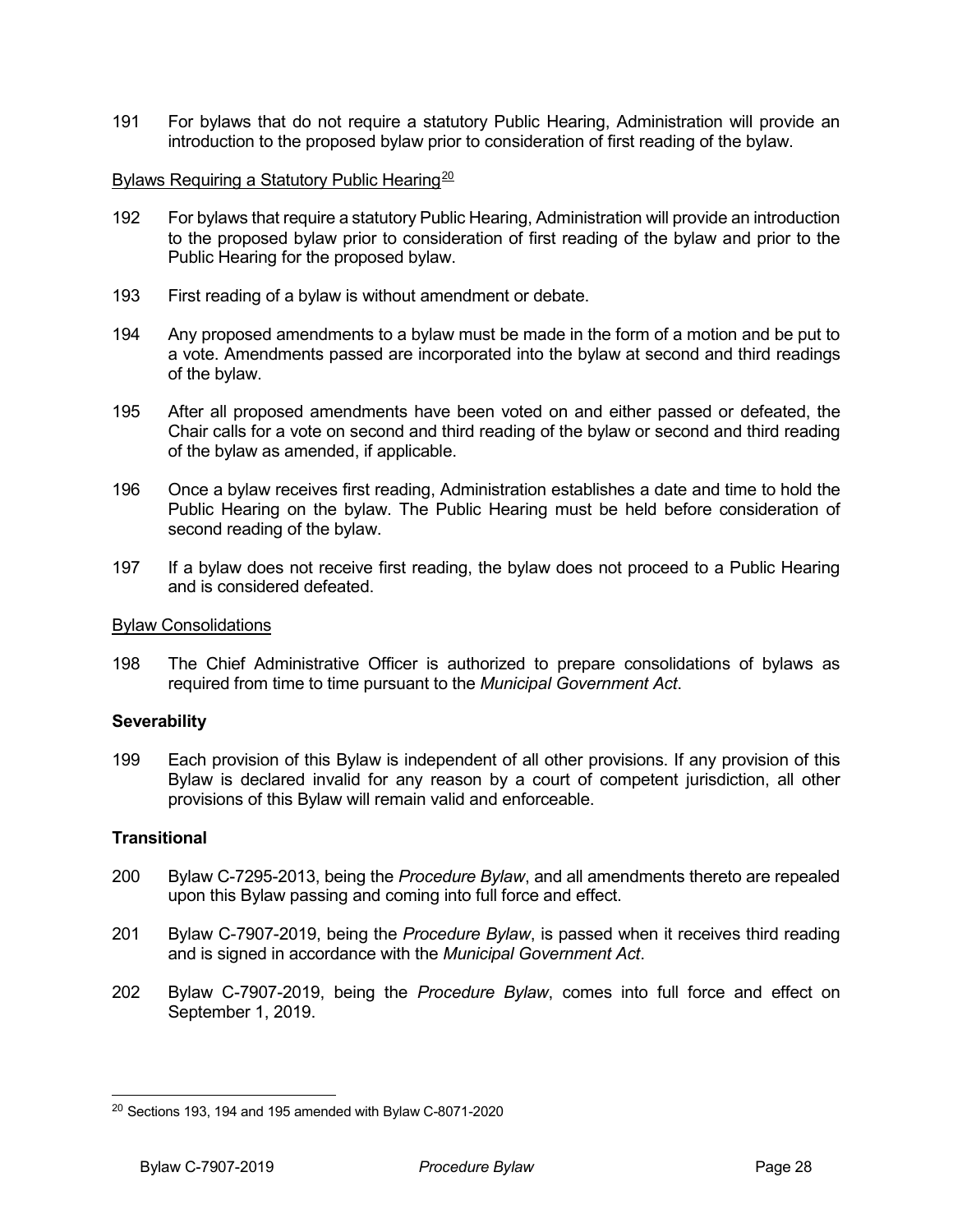191 For bylaws that do not require a statutory Public Hearing, Administration will provide an introduction to the proposed bylaw prior to consideration of first reading of the bylaw.

# Bylaws Requiring a Statutory Public Hearing<sup>[20](#page-27-0)</sup>

- 192 For bylaws that require a statutory Public Hearing, Administration will provide an introduction to the proposed bylaw prior to consideration of first reading of the bylaw and prior to the Public Hearing for the proposed bylaw.
- 193 First reading of a bylaw is without amendment or debate.
- 194 Any proposed amendments to a bylaw must be made in the form of a motion and be put to a vote. Amendments passed are incorporated into the bylaw at second and third readings of the bylaw.
- 195 After all proposed amendments have been voted on and either passed or defeated, the Chair calls for a vote on second and third reading of the bylaw or second and third reading of the bylaw as amended, if applicable.
- 196 Once a bylaw receives first reading, Administration establishes a date and time to hold the Public Hearing on the bylaw. The Public Hearing must be held before consideration of second reading of the bylaw.
- 197 If a bylaw does not receive first reading, the bylaw does not proceed to a Public Hearing and is considered defeated.

#### Bylaw Consolidations

198 The Chief Administrative Officer is authorized to prepare consolidations of bylaws as required from time to time pursuant to the *Municipal Government Act*.

#### **Severability**

199 Each provision of this Bylaw is independent of all other provisions. If any provision of this Bylaw is declared invalid for any reason by a court of competent jurisdiction, all other provisions of this Bylaw will remain valid and enforceable.

#### **Transitional**

- 200 Bylaw C-7295-2013, being the *Procedure Bylaw*, and all amendments thereto are repealed upon this Bylaw passing and coming into full force and effect.
- 201 Bylaw C-7907-2019, being the *Procedure Bylaw*, is passed when it receives third reading and is signed in accordance with the *Municipal Government Act*.
- 202 Bylaw C-7907-2019, being the *Procedure Bylaw*, comes into full force and effect on September 1, 2019.

<span id="page-27-0"></span> <sup>20</sup> Sections 193, 194 and 195 amended with Bylaw C-8071-2020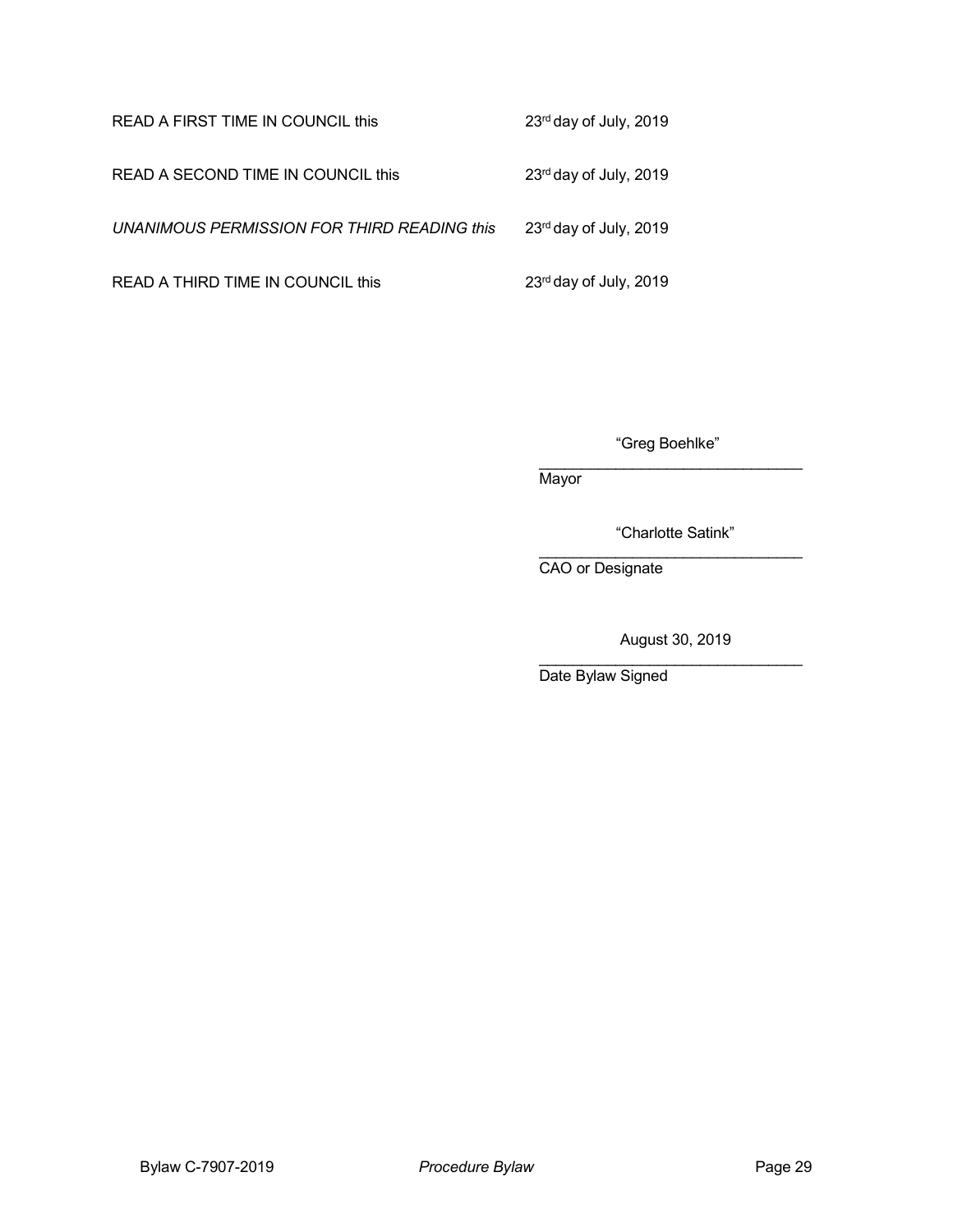\_\_\_\_\_\_\_\_\_\_\_\_\_\_\_\_\_\_\_\_\_\_\_\_\_\_\_\_\_\_\_ **Mayor** 

"Charlotte Satink"

"Greg Boehlke"

\_\_\_\_\_\_\_\_\_\_\_\_\_\_\_\_\_\_\_\_\_\_\_\_\_\_\_\_\_\_\_ CAO or Designate

August 30, 2019

\_\_\_\_\_\_\_\_\_\_\_\_\_\_\_\_\_\_\_\_\_\_\_\_\_\_\_\_\_\_\_ Date Bylaw Signed

Bylaw C-7907-2019 *Procedure Bylaw* Procedure 29

READ A FIRST TIME IN COUNCIL this 23<sup>rd</sup> day of July, 2019

READ A SECOND TIME IN COUNCIL this 23<sup>rd</sup> day of July, 2019

*UNANIMOUS PERMISSION FOR THIRD READING this* 23rd day of July, 2019

READ A THIRD TIME IN COUNCIL this 23rd day of July, 2019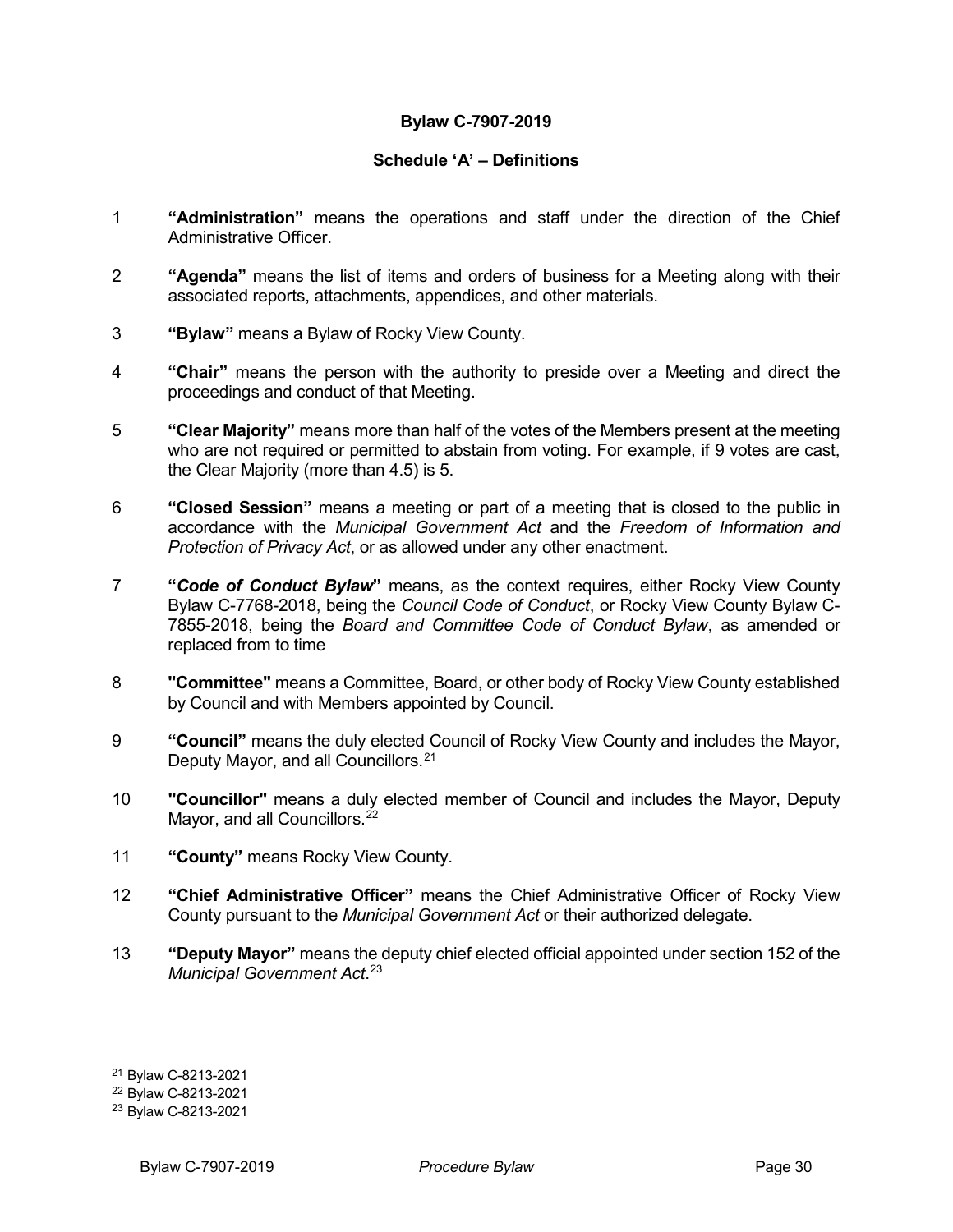# **Bylaw C-7907-2019**

# **Schedule 'A' – Definitions**

- 1 **"Administration"** means the operations and staff under the direction of the Chief Administrative Officer.
- 2 **"Agenda"** means the list of items and orders of business for a Meeting along with their associated reports, attachments, appendices, and other materials.
- 3 **"Bylaw"** means a Bylaw of Rocky View County.
- 4 **"Chair"** means the person with the authority to preside over a Meeting and direct the proceedings and conduct of that Meeting.
- 5 **"Clear Majority"** means more than half of the votes of the Members present at the meeting who are not required or permitted to abstain from voting. For example, if 9 votes are cast, the Clear Majority (more than 4.5) is 5.
- 6 **"Closed Session"** means a meeting or part of a meeting that is closed to the public in accordance with the *Municipal Government Act* and the *Freedom of Information and Protection of Privacy Act*, or as allowed under any other enactment.
- 7 **"***Code of Conduct Bylaw***"** means, as the context requires, either Rocky View County Bylaw C-7768-2018, being the *Council Code of Conduct*, or Rocky View County Bylaw C-7855-2018, being the *Board and Committee Code of Conduct Bylaw*, as amended or replaced from to time
- 8 **"Committee"** means a Committee, Board, or other body of Rocky View County established by Council and with Members appointed by Council.
- 9 **"Council"** means the duly elected Council of Rocky View County and includes the Mayor, Deputy Mayor, and all Councillors.<sup>[21](#page-29-0)</sup>
- 10 **"Councillor"** means a duly elected member of Council and includes the Mayor, Deputy Mayor, and all Councillors.<sup>[22](#page-29-1)</sup>
- 11 **"County"** means Rocky View County.
- 12 **"Chief Administrative Officer"** means the Chief Administrative Officer of Rocky View County pursuant to the *Municipal Government Act* or their authorized delegate.
- 13 **"Deputy Mayor"** means the deputy chief elected official appointed under section 152 of the *Municipal Government Act*. [23](#page-29-2)

<span id="page-29-0"></span> <sup>21</sup> Bylaw C-8213-2021

<span id="page-29-1"></span><sup>22</sup> Bylaw C-8213-2021

<span id="page-29-2"></span><sup>23</sup> Bylaw C-8213-2021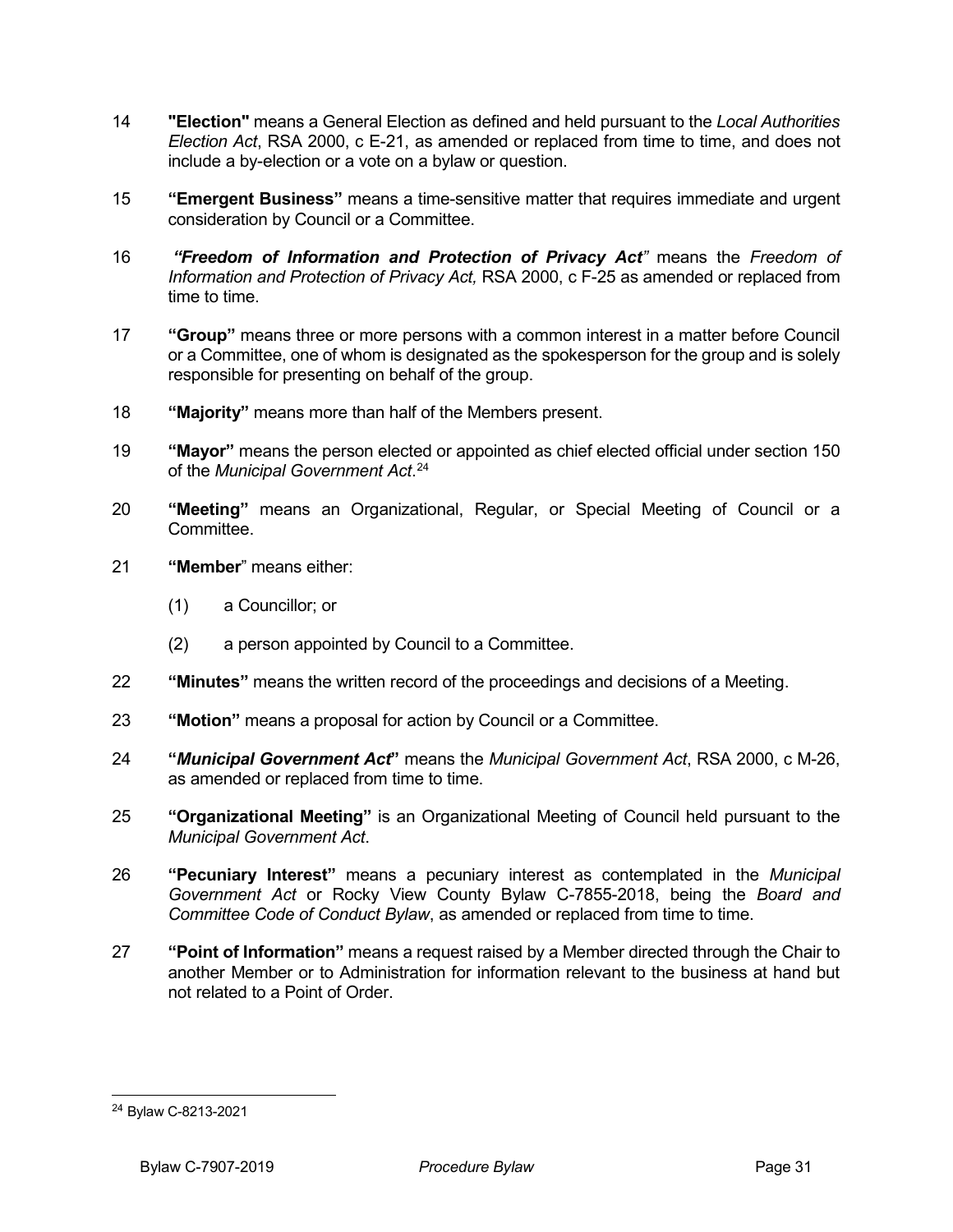- 14 **"Election"** means a General Election as defined and held pursuant to the *Local Authorities Election Act*, RSA 2000, c E-21, as amended or replaced from time to time, and does not include a by-election or a vote on a bylaw or question.
- 15 **"Emergent Business"** means a time-sensitive matter that requires immediate and urgent consideration by Council or a Committee.
- 16 *"Freedom of Information and Protection of Privacy Act"* means the *Freedom of Information and Protection of Privacy Act,* RSA 2000, c F-25 as amended or replaced from time to time.
- 17 **"Group"** means three or more persons with a common interest in a matter before Council or a Committee, one of whom is designated as the spokesperson for the group and is solely responsible for presenting on behalf of the group.
- 18 **"Majority"** means more than half of the Members present.
- 19 **"Mayor"** means the person elected or appointed as chief elected official under section 150 of the *Municipal Government Act*. [24](#page-30-0)
- 20 **"Meeting"** means an Organizational, Regular, or Special Meeting of Council or a Committee.
- 21 **"Member**" means either:
	- (1) a Councillor; or
	- (2) a person appointed by Council to a Committee.
- 22 **"Minutes"** means the written record of the proceedings and decisions of a Meeting.
- 23 **"Motion"** means a proposal for action by Council or a Committee.
- 24 **"***Municipal Government Act***"** means the *Municipal Government Act*, RSA 2000, c M-26, as amended or replaced from time to time.
- 25 **"Organizational Meeting"** is an Organizational Meeting of Council held pursuant to the *Municipal Government Act*.
- 26 **"Pecuniary Interest"** means a pecuniary interest as contemplated in the *Municipal Government Act* or Rocky View County Bylaw C-7855-2018, being the *Board and Committee Code of Conduct Bylaw*, as amended or replaced from time to time.
- 27 **"Point of Information"** means a request raised by a Member directed through the Chair to another Member or to Administration for information relevant to the business at hand but not related to a Point of Order.

<span id="page-30-0"></span> <sup>24</sup> Bylaw C-8213-2021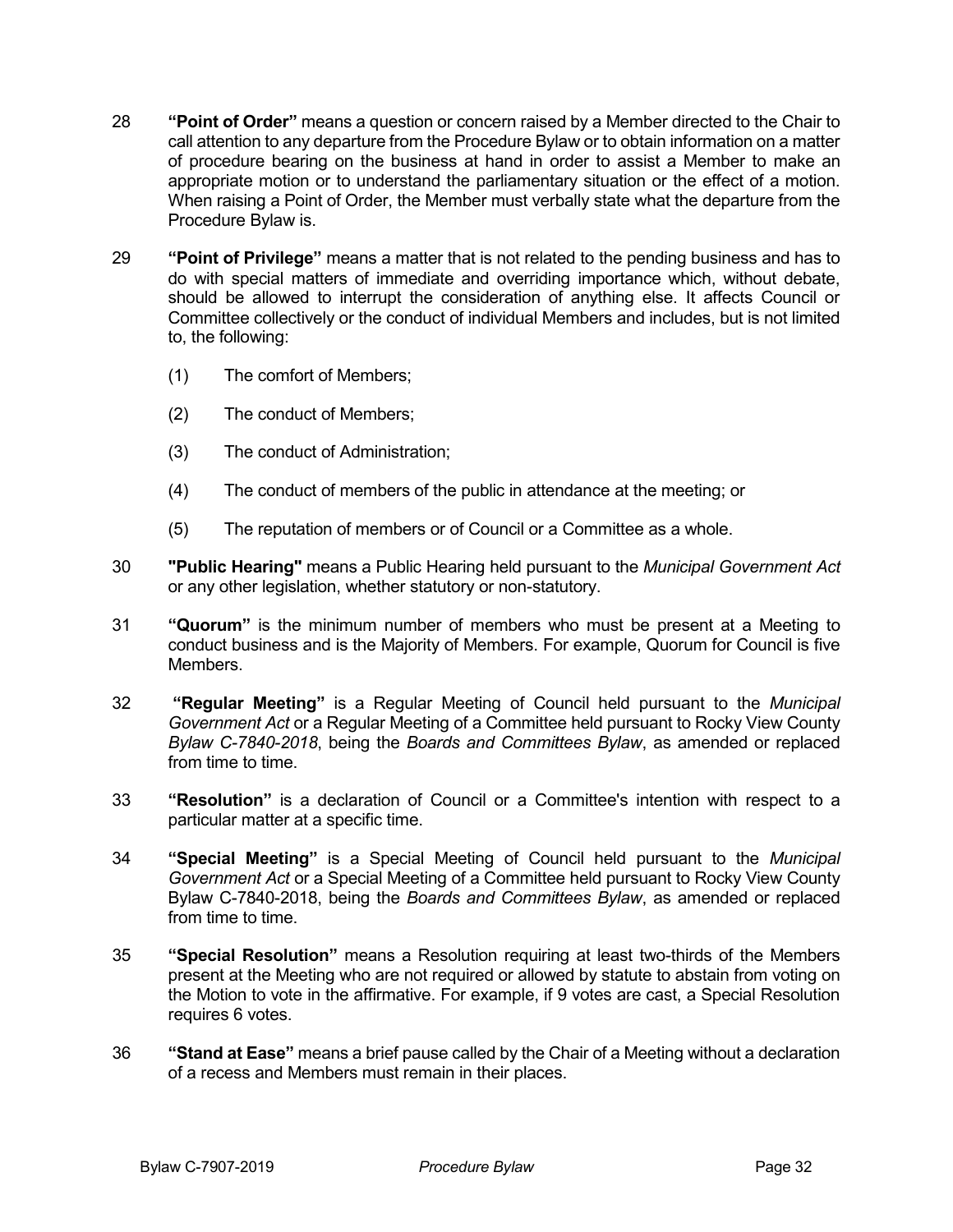- 28 **"Point of Order"** means a question or concern raised by a Member directed to the Chair to call attention to any departure from the Procedure Bylaw or to obtain information on a matter of procedure bearing on the business at hand in order to assist a Member to make an appropriate motion or to understand the parliamentary situation or the effect of a motion. When raising a Point of Order, the Member must verbally state what the departure from the Procedure Bylaw is.
- 29 **"Point of Privilege"** means a matter that is not related to the pending business and has to do with special matters of immediate and overriding importance which, without debate, should be allowed to interrupt the consideration of anything else. It affects Council or Committee collectively or the conduct of individual Members and includes, but is not limited to, the following:
	- (1) The comfort of Members;
	- (2) The conduct of Members;
	- (3) The conduct of Administration;
	- (4) The conduct of members of the public in attendance at the meeting; or
	- (5) The reputation of members or of Council or a Committee as a whole.
- 30 **"Public Hearing"** means a Public Hearing held pursuant to the *Municipal Government Act*  or any other legislation, whether statutory or non-statutory.
- 31 **"Quorum"** is the minimum number of members who must be present at a Meeting to conduct business and is the Majority of Members. For example, Quorum for Council is five Members.
- 32 **"Regular Meeting"** is a Regular Meeting of Council held pursuant to the *Municipal Government Act* or a Regular Meeting of a Committee held pursuant to Rocky View County *Bylaw C-7840-2018*, being the *Boards and Committees Bylaw*, as amended or replaced from time to time.
- 33 **"Resolution"** is a declaration of Council or a Committee's intention with respect to a particular matter at a specific time.
- 34 **"Special Meeting"** is a Special Meeting of Council held pursuant to the *Municipal Government Act* or a Special Meeting of a Committee held pursuant to Rocky View County Bylaw C-7840-2018, being the *Boards and Committees Bylaw*, as amended or replaced from time to time.
- 35 **"Special Resolution"** means a Resolution requiring at least two-thirds of the Members present at the Meeting who are not required or allowed by statute to abstain from voting on the Motion to vote in the affirmative. For example, if 9 votes are cast, a Special Resolution requires 6 votes.
- 36 **"Stand at Ease"** means a brief pause called by the Chair of a Meeting without a declaration of a recess and Members must remain in their places.